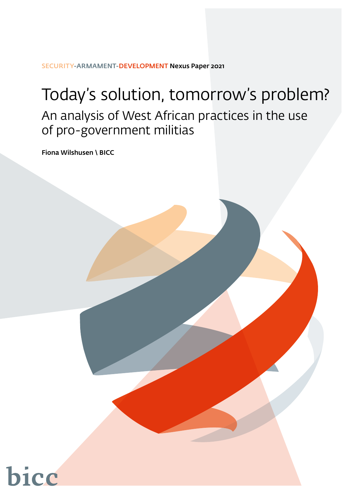SECURITY-ARMAMENT-DEVELOPMENT Nexus Paper 2021

# Today's solution, tomorrow's problem? An analysis of West African practices in the use of pro-government militias

Fiona Wilshusen \ BICC



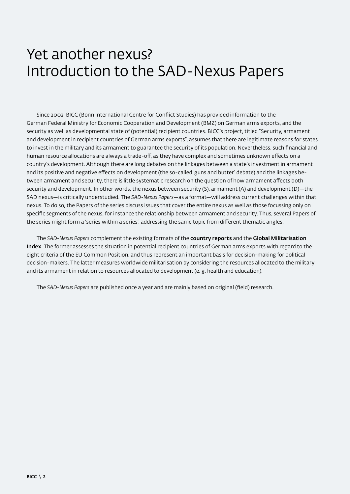## <span id="page-1-0"></span>Yet another nexus? Introduction to the SAD-Nexus Papers

Since 2002, BICC (Bonn International Centre for Conflict Studies) has provided information to the German Federal Ministry for Economic Cooperation and Development (BMZ) on German arms exports, and the security as well as developmental state of (potential) recipient countries. BICC's project, titled "Security, armament and development in recipient countries of German arms exports", assumes that there are legitimate reasons for states to invest in the military and its armament to guarantee the security of its population. Nevertheless, such financial and human resource allocations are always a trade-off, as they have complex and sometimes unknown effects on a country's development. Although there are long debates on the linkages between a state's investment in armament and its positive and negative effects on development (the so-called 'guns and butter' debate) and the linkages between armament and security, there is little systematic research on the question of how armament affects both security and development. In other words, the nexus between security (S), armament (A) and development (D)—the SAD nexus—is critically understudied. The *SAD-Nexus Papers*—as a format—will address current challenges within that nexus. To do so, the Papers of the series discuss issues that cover the entire nexus as well as those focussing only on specific segments of the nexus, for instance the relationship between armament and security. Thus, several Papers of the series might form a 'series within a series', addressing the same topic from different thematic angles.

The *SAD-Nexus Papers* complement the existing formats of the country reports and the Global Militarisation Index. The former assesses the situation in potential recipient countries of German arms exports with regard to the eight criteria of the EU Common Position, and thus represent an important basis for decision-making for political decision-makers. The latter measures worldwide militarisation by considering the resources allocated to the military and its armament in relation to resources allocated to development (e. g. health and education).

The *SAD-Nexus Papers* are published once a year and are mainly based on original (field) research.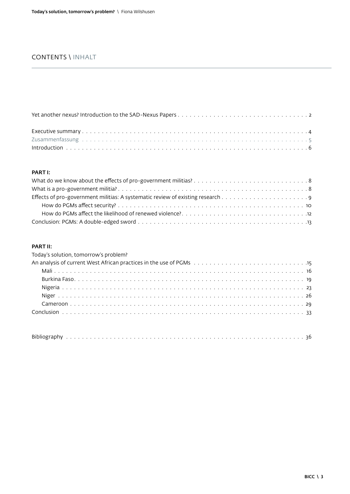## CONTENTS \ INHALT

### [PART I:](#page-7-0)

#### [PART II:](#page-14-0)

| Today's solution, tomorrow's problem?                            |
|------------------------------------------------------------------|
| An analysis of current West African practices in the use of PGMs |
|                                                                  |
|                                                                  |
|                                                                  |
|                                                                  |
|                                                                  |
|                                                                  |
|                                                                  |
|                                                                  |

| <b>Dibl</b> |  |  |  |  |  |  |  |  |  |  |  |  |  |  |  |  |  |  |  |  |  |  |  |  |  |  |  |  |  |  |  |  |  |  |  |  |  |  |  |  |  |  |  |
|-------------|--|--|--|--|--|--|--|--|--|--|--|--|--|--|--|--|--|--|--|--|--|--|--|--|--|--|--|--|--|--|--|--|--|--|--|--|--|--|--|--|--|--|--|
|-------------|--|--|--|--|--|--|--|--|--|--|--|--|--|--|--|--|--|--|--|--|--|--|--|--|--|--|--|--|--|--|--|--|--|--|--|--|--|--|--|--|--|--|--|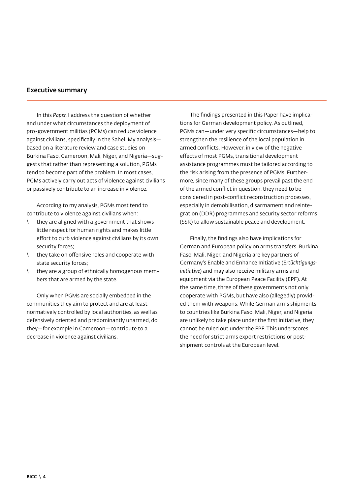#### <span id="page-3-0"></span>Executive summary

In this *Paper*, I address the question of whether and under what circumstances the deployment of pro-government militias (PGMs) can reduce violence against civilians, specifically in the Sahel. My analysis based on a literature review and case studies on Burkina Faso, Cameroon, Mali, Niger, and Nigeria—suggests that rather than representing a solution, PGMs tend to become part of the problem. In most cases, PGMs actively carry out acts of violence against civilians or passively contribute to an increase in violence.

According to my analysis, PGMs most tend to contribute to violence against civilians when:

- \ they are aligned with a government that shows little respect for human rights and makes little effort to curb violence against civilians by its own security forces;
- \ they take on offensive roles and cooperate with state security forces;
- \ they are a group of ethnically homogenous members that are armed by the state.

Only when PGMs are socially embedded in the communities they aim to protect and are at least normatively controlled by local authorities, as well as defensively oriented and predominantly unarmed, do they—for example in Cameroon—contribute to a decrease in violence against civilians.

The findings presented in this Paper have implications for German development policy. As outlined, PGMs can—under very specific circumstances—help to strengthen the resilience of the local population in armed conflicts. However, in view of the negative effects of most PGMs, transitional development assistance programmes must be tailored according to the risk arising from the presence of PGMs. Furthermore, since many of these groups prevail past the end of the armed conflict in question, they need to be considered in post-conflict reconstruction processes, especially in demobilisation, disarmament and reintegration (DDR) programmes and security sector reforms (SSR) to allow sustainable peace and development.

Finally, the findings also have implications for German and European policy on arms transfers. Burkina Faso, Mali, Niger, and Nigeria are key partners of Germany's Enable and Enhance Initiative (*Ertüchtigungsinitiative*) and may also receive military arms and equipment via the European Peace Facility (EPF). At the same time, three of these governments not only cooperate with PGMs, but have also (allegedly) provided them with weapons. While German arms shipments to countries like Burkina Faso, Mali, Niger, and Nigeria are unlikely to take place under the first initiative, they cannot be ruled out under the EPF. This underscores the need for strict arms export restrictions or postshipment controls at the European level.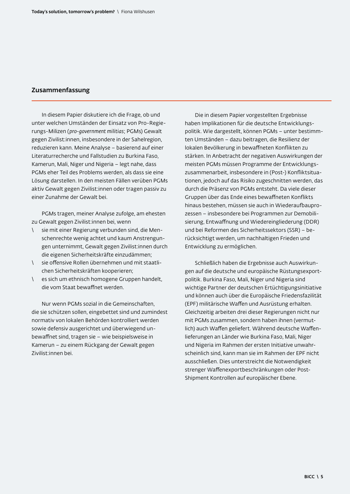## <span id="page-4-0"></span>Zusammenfassung

In diesem Papier diskutiere ich die Frage, ob und unter welchen Umständen der Einsatz von Pro-Regierungs-Milizen (*pro-government militias*; PGMs) Gewalt gegen Zivilist:innen, insbesondere in der Sahelregion, reduzieren kann. Meine Analyse – basierend auf einer Literaturrecherche und Fallstudien zu Burkina Faso, Kamerun, Mali, Niger und Nigeria – legt nahe, dass PGMs eher Teil des Problems werden, als dass sie eine Lösung darstellen. In den meisten Fällen verüben PGMs aktiv Gewalt gegen Zivilist:innen oder tragen passiv zu einer Zunahme der Gewalt bei.

PGMs tragen, meiner Analyse zufolge, am ehesten zu Gewalt gegen Zivilist:innen bei, wenn

- sie mit einer Regierung verbunden sind, die Menschenrechte wenig achtet und kaum Anstrengungen unternimmt, Gewalt gegen Zivilist:innen durch die eigenen Sicherheitskräfte einzudämmen;
- \ sie offensive Rollen übernehmen und mit staatlichen Sicherheitskräften kooperieren;
- \ es sich um ethnisch homogene Gruppen handelt, die vom Staat bewaffnet werden.

Nur wenn PGMs sozial in die Gemeinschaften, die sie schützen sollen, eingebettet sind und zumindest normativ von lokalen Behörden kontrolliert werden sowie defensiv ausgerichtet und überwiegend unbewaffnet sind, tragen sie – wie beispielsweise in Kamerun – zu einem Rückgang der Gewalt gegen Zivilist:innen bei.

Die in diesem Papier vorgestellten Ergebnisse haben Implikationen für die deutsche Entwicklungspolitik. Wie dargestellt, können PGMs – unter bestimmten Umständen – dazu beitragen, die Resilienz der lokalen Bevölkerung in bewaffneten Konflikten zu stärken. In Anbetracht der negativen Auswirkungen der meisten PGMs müssen Programme der Entwicklungszusammenarbeit, insbesondere in (Post-) Konfliktsituationen, jedoch auf das Risiko zugeschnitten werden, das durch die Präsenz von PGMs entsteht. Da viele dieser Gruppen über das Ende eines bewaffneten Konflikts hinaus bestehen, müssen sie auch in Wiederaufbauprozessen – insbesondere bei Programmen zur Demobilisierung, Entwaffnung und Wiedereingliederung (DDR) und bei Reformen des Sicherheitssektors (SSR) – berücksichtigt werden, um nachhaltigen Frieden und Entwicklung zu ermöglichen.

Schließlich haben die Ergebnisse auch Auswirkungen auf die deutsche und europäische Rüstungsexportpolitik. Burkina Faso, Mali, Niger und Nigeria sind wichtige Partner der deutschen Ertüchtigungsinitiative und können auch über die Europäische Friedensfazilität (EPF) militärische Waffen und Ausrüstung erhalten. Gleichzeitig arbeiten drei dieser Regierungen nicht nur mit PGMs zusammen, sondern haben ihnen (vermutlich) auch Waffen geliefert. Während deutsche Waffenlieferungen an Länder wie Burkina Faso, Mali, Niger und Nigeria im Rahmen der ersten Initiative unwahrscheinlich sind, kann man sie im Rahmen der EPF nicht ausschließen. Dies unterstreicht die Notwendigkeit strenger Waffenexportbeschränkungen oder Post-Shipment Kontrollen auf europäischer Ebene.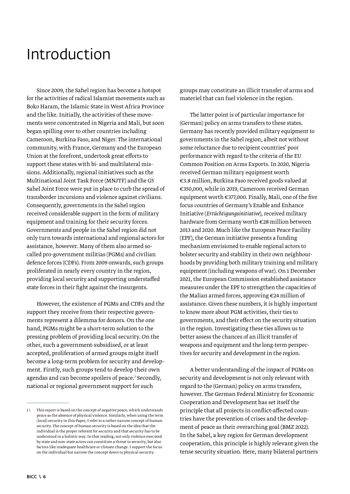## <span id="page-5-0"></span>Introduction

Since 2009, the Sahel region has become a hotspot for the activities of radical Islamist movements such as Boko Haram, the Islamic State in West Africa Province and the like. Initially, the activities of these movements were concentrated in Nigeria and Mali, but soon began spilling over to other countries including Cameroon, Burkina Faso, and Niger. The international community, with France, Germany and the European Union at the forefront, undertook great efforts to support these states with bi- and multilateral missions. Additionally, regional initiatives such as the Multinational Joint Task Force (MNJTF) and the G5 Sahel Joint Force were put in place to curb the spread of transborder incursions and violence against civilians. Consequently, governments in the Sahel region received considerable support in the form of military equipment and training for their security forces. Governments and people in the Sahel region did not only turn towards international and regional actors for assistance, however. Many of them also armed socalled pro-government militias (PGMs) and civilian defence forces (CDFs). From 2009 onwards, such groups proliferated in nearly every country in the region, providing local security and supporting understaffed state forces in their fight against the insurgents.

However, the existence of PGMs and CDFs and the support they receive from their respective governments represent a dilemma for donors. On the one hand, PGMs might be a short-term solution to the pressing problem of providing local security. On the other, such a government-subsidised, or at least accepted, proliferation of armed groups might itself become a long-term problem for security and development. Firstly, such groups tend to develop their own agendas and can become spoilers of peace.<sup>1</sup> Secondly, national or regional government support for such

groups may constitute an illicit transfer of arms and materiel that can fuel violence in the region.

The latter point is of particular importance for (German) policy on arms transfers to these states. Germany has recently provided military equipment to governments in the Sahel region, albeit not without some reluctance due to recipient countries' poor performance with regard to the criteria of the EU Common Position on Arms Exports. In 2020, Nigeria received German military equipment worth €3.8 million, Burkina Faso received goods valued at €350,000, while in 2019, Cameroon received German equipment worth €377,000. Finally, Mali, one of the five focus countries of Germany's Enable and Enhance Initiative (*Ertüchtigungsinitiative*), received military hardware from Germany worth €28 million between 2013 and 2020. Much like the European Peace Facility (EPF), the German initiative presents a funding mechanism envisioned to enable regional actors to bolster security and stability in their own neighbourhoods by providing both military training and military equipment (including weapons of war). On 1 December 2021, the European Commission established assistance measures under the EPF to strengthen the capacities of the Malian armed forces, approving €24 million of assistance. Given these numbers, it is highly important to know more about PGM activities, their ties to governments, and their effect on the security situation in the region. Investigating these ties allows us to better assess the chances of an illicit transfer of weapons and equipment and the long-term perspectives for security and development in the region.

A better understanding of the impact of PGMs on security and development is not only relevant with regard to the (German) policy on arms transfers, however. The German Federal Ministry for Economic Cooperation and Development has set itself the principle that all projects in conflict-affected countries have the prevention of crises and the development of peace as their overarching goal (BMZ 2022). In the Sahel, a key region for German development cooperation, this principle is highly relevant given the tense security situation. Here, many bilateral partners

<sup>1 \</sup> This report is based on the concept of negative peace, which understands peace as the absence of physical violence. Similarly, when using the term (local) security in this Paper, I refer to a rather narrow concept of human security. The concept of human security is based on the idea that the individual is the proper referent for security and that security has to be understood in a holistic way. In that reading, not only violence executed by state and non-state actors can constitute a threat to security, but also factors like inadequate healthcare or climate change. I support the focus on the individual but narrow the concept down to physical security.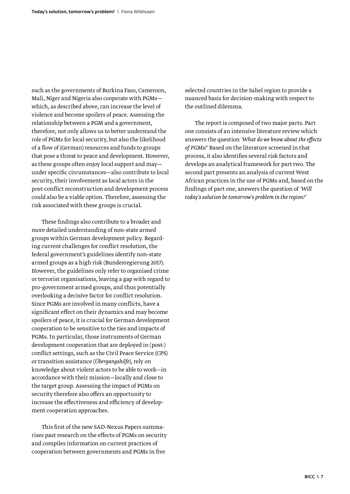such as the governments of Burkina Faso, Cameroon, Mali, Niger and Nigeria also cooperate with PGMs which, as described above, can increase the level of violence and become spoilers of peace. Assessing the relationship between a PGM and a government, therefore, not only allows us to better understand the role of PGMs for local security, but also the likelihood of a flow of (German) resources and funds to groups that pose a threat to peace and development. However, as these groups often enjoy local support and may under specific circumstances—also contribute to local security, their involvement as local actors in the post-conflict reconstruction and development process could also be a viable option. Therefore, assessing the risk associated with these groups is crucial.

These findings also contribute to a broader and more detailed understanding of non-state armed groups within German development policy. Regarding current challenges for conflict resolution, the federal government's guidelines identify non-state armed groups as a high risk (Bundesregierung 2017). However, the guidelines only refer to organised crime or terrorist organisations, leaving a gap with regard to pro-government armed groups, and thus potentially overlooking a decisive factor for conflict resolution. Since PGMs are involved in many conflicts, have a significant effect on their dynamics and may become spoilers of peace, it is crucial for German development cooperation to be sensitive to the ties and impacts of PGMs. In particular, those instruments of German development cooperation that are deployed in (post-) conflict settings, such as the Civil Peace Service (CPS) or transition assistance (*Übergangshilfe*), rely on knowledge about violent actors to be able to work—in accordance with their mission—locally and close to the target group. Assessing the impact of PGMs on security therefore also offers an opportunity to increase the effectiveness and efficiency of development cooperation approaches.

This first of the new SAD-Nexus Papers summarises past research on the effects of PGMs on security and compiles information on current practices of cooperation between governments and PGMs in five

selected countries in the Sahel region to provide a nuanced basis for decision-making with respect to the outlined dilemma.

The report is composed of two major parts. Part one consists of an intensive literature review which answers the question *'What do we know about the effects of PGMs?'* Based on the literature screened in that process, it also identifies several risk factors and develops an analytical framework for part two. The second part presents an analysis of current West African practices in the use of PGMs and, based on the findings of part one, answers the question of *'Will today's solution be tomorrow's problem in the region?'*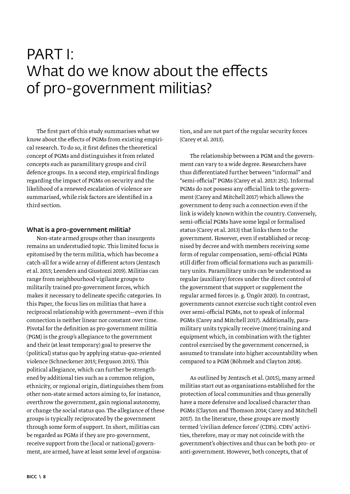## <span id="page-7-0"></span>PART I: What do we know about the effects of pro-government militias?

The first part of this study summarises what we know about the effects of PGMs from existing empirical research. To do so, it first defines the theoretical concept of PGMs and distinguishes it from related concepts such as paramilitary groups and civil defence groups. In a second step, empirical findings regarding the impact of PGMs on security and the likelihood of a renewed escalation of violence are summarised, while risk factors are identified in a third section.

#### What is a pro-government militia?

Non-state armed groups other than insurgents remains an understudied topic. This limited focus is epitomised by the term militia, which has become a catch-all for a wide array of different actors (Jentzsch et al. 2015; Leenders and Giustozzi 2019). Militias can range from neighbourhood vigilante groups to militarily trained pro-government forces, which makes it necessary to delineate specific categories. In this Paper, the focus lies on militias that have a reciprocal relationship with government—even if this connection is neither linear nor constant over time. Pivotal for the definition as pro-government militia (PGM) is the group's allegiance to the government and their (at least temporary) goal to preserve the (political) status quo by applying status-quo-oriented violence (Schneckener 2015; Ferguson 2015). This political allegiance, which can further be strengthened by additional ties such as a common religion, ethnicity, or regional origin, distinguishes them from other non-state armed actors aiming to, for instance, overthrow the government, gain regional autonomy, or change the social status quo. The allegiance of these groups is typically reciprocated by the government through some form of support. In short, militias can be regarded as PGMs if they are pro-government, receive support from the (local or national) government, are armed, have at least some level of organisation, and are not part of the regular security forces (Carey et al. 2013).

The relationship between a PGM and the government can vary to a wide degree. Researchers have thus differentiated further between "informal" and "semi-official" PGMs (Carey et al. 2013: 251). Informal PGMs do not possess any official link to the government (Carey and Mitchell 2017) which allows the government to deny such a connection even if the link is widely known within the country. Conversely, semi-official PGMs have some legal or formalised status (Carey et al. 2013) that links them to the government. However, even if established or recognised by decree and with members receiving some form of regular compensation, semi-official PGMs still differ from official formations such as paramilitary units. Paramilitary units can be understood as regular (auxiliary) forces under the direct control of the government that support or supplement the regular armed forces (e. g. Üngör 2020). In contrast, governments cannot exercise such tight control even over semi-official PGMs, not to speak of informal PGMs (Carey and Mitchell 2017). Additionally, paramilitary units typically receive (more) training and equipment which, in combination with the tighter control exercised by the government concerned, is assumed to translate into higher accountability when compared to a PGM (Böhmelt and Clayton 2018).

As outlined by Jentzsch et al. (2015), many armed militias start out as organisations established for the protection of local communities and thus generally have a more defensive and localised character than PGMs (Clayton and Thomson 2014; Carey and Mitchell 2017). In the literature, these groups are mostly termed 'civilian defence forces' (CDFs). CDFs' activities, therefore, may or may not coincide with the government's objectives and thus can be both pro- or anti-government. However, both concepts, that of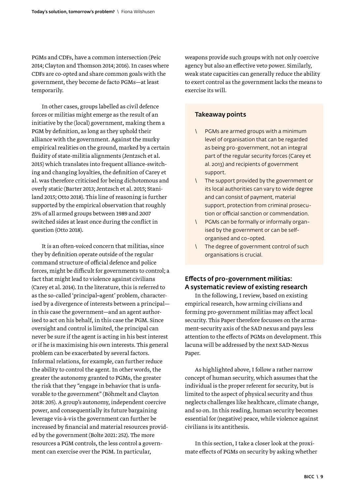<span id="page-8-0"></span>PGMs and CDFs, have a common intersection (Peic 2014; Clayton and Thomson 2014; 2016). In cases where CDFs are co-opted and share common goals with the government, they become de facto PGMs—at least temporarily.

In other cases, groups labelled as civil defence forces or militias might emerge as the result of an initiative by the (local) government, making them a PGM by definition, as long as they uphold their alliance with the government. Against the murky empirical realities on the ground, marked by a certain fluidity of state-militia alignments (Jentzsch et al. 2015) which translates into frequent alliance-switching and changing loyalties, the definition of Carey et al. was therefore criticised for being dichotomous and overly static (Barter 2013; Jentzsch et al. 2015; Staniland 2015; Otto 2018). This line of reasoning is further supported by the empirical observation that roughly 25% of all armed groups between 1989 and 2007 switched sides at least once during the conflict in question (Otto 2018).

It is an often-voiced concern that militias, since they by definition operate outside of the regular command structure of official defence and police forces, might be difficult for governments to control; a fact that might lead to violence against civilians (Carey et al. 2014). In the literature, this is referred to as the so-called 'principal-agent' problem, characterised by a divergence of interests between a principal in this case the government—and an agent authorised to act on his behalf, in this case the PGM. Since oversight and control is limited, the principal can never be sure if the agent is acting in his best interest or if he is maximising his own interests. This general problem can be exacerbated by several factors. Informal relations, for example, can further reduce the ability to control the agent. In other words, the greater the autonomy granted to PGMs, the greater the risk that they "engage in behavior that is unfavorable to the government" (Böhmelt and Clayton 2018: 205). A group's autonomy, independent coercive power, and consequentially its future bargaining leverage vis-à-vis the government can further be increased by financial and material resources provided by the government (Bolte 2021: 252). The more resources a PGM controls, the less control a government can exercise over the PGM. In particular,

weapons provide such groups with not only coercive agency but also an effective veto power. Similarly, weak state capacities can generally reduce the ability to exert control as the government lacks the means to exercise its will.

#### Takeaway points

- \ PGMs are armed groups with a minimum level of organisation that can be regarded as being pro-government, not an integral part of the regular security forces (Carey et al. 2013) and recipients of government support.
- \ The support provided by the government or its local authorities can vary to wide degree and can consist of payment, material support, protection from criminal prosecution or official sanction or commendation.
- \ PGMs can be formally or informally organised by the government or can be selforganised and co-opted.
- \ The degree of government control of such organisations is crucial.

## Effects of pro-government militias: A systematic review of existing research

In the following, I review, based on existing empirical research, how arming civilians and forming pro-government militias may affect local security. This Paper therefore focusses on the armament–security axis of the SAD nexus and pays less attention to the effects of PGMs on development. This lacuna will be addressed by the next SAD-Nexus Paper.

As highlighted above, I follow a rather narrow concept of human security, which assumes that the individual is the proper referent for security, but is limited to the aspect of physical security and thus neglects challenges like healthcare, climate change, and so on. In this reading, human security becomes essential for (negative) peace, while violence against civilians is its antithesis.

In this section, I take a closer look at the proximate effects of PGMs on security by asking whether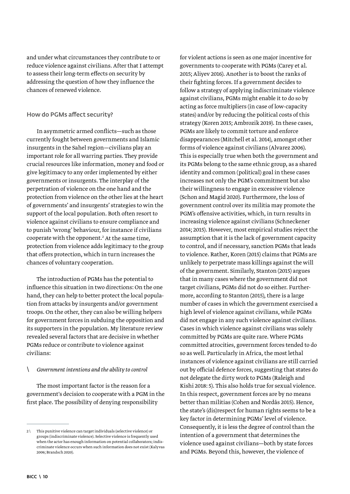<span id="page-9-0"></span>and under what circumstances they contribute to or reduce violence against civilians. After that I attempt to assess their long-term effects on security by addressing the question of how they influence the chances of renewed violence.

#### How do PGMs affect security?

In asymmetric armed conflicts—such as those currently fought between governments and Islamic insurgents in the Sahel region—civilians play an important role for all warring parties. They provide crucial resources like information, money and food or give legitimacy to any order implemented by either governments or insurgents. The interplay of the perpetration of violence on the one hand and the protection from violence on the other lies at the heart of governments' and insurgents' strategies to win the support of the local population. Both often resort to violence against civilians to ensure compliance and to punish 'wrong' behaviour, for instance if civilians cooperate with the opponent.2 At the same time, protection from violence adds legitimacy to the group that offers protection, which in turn increases the chances of voluntary cooperation.

The introduction of PGMs has the potential to influence this situation in two directions: On the one hand, they can help to better protect the local population from attacks by insurgents and/or government troops. On the other, they can also be willing helpers for government forces in subduing the opposition and its supporters in the population. My literature review revealed several factors that are decisive in whether PGMs reduce or contribute to violence against civilians:

#### \ *Government intentions and the ability to control*

The most important factor is the reason for a government's decision to cooperate with a PGM in the first place. The possibility of denying responsibility

for violent actions is seen as one major incentive for governments to cooperate with PGMs (Carey et al. 2015; Aliyev 2016). Another is to boost the ranks of their fighting forces. If a government decides to follow a strategy of applying indiscriminate violence against civilians, PGMs might enable it to do so by acting as force multipliers (in case of low-capacity states) and/or by reducing the political costs of this strategy (Koren 2015; Ambrozik 2019). In these cases, PGMs are likely to commit torture and enforce disappearances (Mitchell et al. 2014), amongst other forms of violence against civilians (Alvarez 2006). This is especially true when both the government and its PGMs belong to the same ethnic group, as a shared identity and common (political) goal in these cases increases not only the PGM's commitment but also their willingness to engage in excessive violence (Schon and Magid 2020). Furthermore, the loss of government control over its militia may promote the PGM's offensive activities, which, in turn results in increasing violence against civilians (Schneckener 2014; 2015). However, most empirical studies reject the assumption that it is the lack of government capacity to control, and if necessary, sanction PGMs that leads to violence. Rather, Koren (2015) claims that PGMs are unlikely to perpetrate mass killings against the will of the government. Similarly, Stanton (2015) argues that in many cases where the government did not target civilians, PGMs did not do so either. Furthermore, according to Stanton (2015), there is a large number of cases in which the government exercised a high level of violence against civilians, while PGMs did not engage in any such violence against civilians. Cases in which violence against civilians was solely committed by PGMs are quite rare. Where PGMs committed atrocities, government forces tended to do so as well. Particularly in Africa, the most lethal instances of violence against civilians are still carried out by official defence forces, suggesting that states do not delegate the dirty work to PGMs (Raleigh and Kishi 2018: 5). This also holds true for sexual violence. In this respect, government forces are by no means better than militias (Cohen and Nordås 2015). Hence, the state's (dis)respect for human rights seems to be a key factor in determining PGMs' level of violence. Consequently, it is less the degree of control than the intention of a government that determines the violence used against civilians—both by state forces and PGMs. Beyond this, however, the violence of

<sup>2 \</sup> This punitive violence can target individuals (selective violence) or groups (indiscriminate violence). Selective violence is frequently used when the actor has enough information on potential collaborators; indiscriminate violence occurs when such information does not exist (Kalyvas 2006; Brandsch 2020).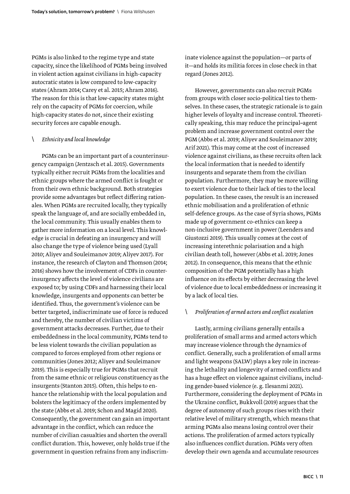PGMs is also linked to the regime type and state capacity, since the likelihood of PGMs being involved in violent action against civilians in high-capacity autocratic states is low compared to low-capacity states (Ahram 2014; Carey et al. 2015; Ahram 2016). The reason for this is that low-capacity states might rely on the capacity of PGMs for coercion, while high-capacity states do not, since their existing security forces are capable enough.

#### \ *Ethnicity and local knowledge*

PGMs can be an important part of a counterinsurgency campaign (Jentzsch et al. 2015). Governments typically either recruit PGMs from the localities and ethnic groups where the armed conflict is fought or from their own ethnic background. Both strategies provide some advantages but reflect differing rationales. When PGMs are recruited locally, they typically speak the language of, and are socially embedded in, the local community. This usually enables them to gather more information on a local level. This knowledge is crucial in defeating an insurgency and will also change the type of violence being used (Lyall 2010; Aliyev and Souleimanov 2019; Aliyev 2017). For instance, the research of Clayton and Thomson (2014; 2016) shows how the involvement of CDFs in counterinsurgency affects the level of violence civilians are exposed to; by using CDFs and harnessing their local knowledge, insurgents and opponents can better be identified. Thus, the government's violence can be better targeted, indiscriminate use of force is reduced and thereby, the number of civilian victims of government attacks decreases. Further, due to their embeddedness in the local community, PGMs tend to be less violent towards the civilian population as compared to forces employed from other regions or communities (Jones 2012; Aliyev and Souleimanov 2019). This is especially true for PGMs that recruit from the same ethnic or religious constituency as the insurgents (Stanton 2015). Often, this helps to enhance the relationship with the local population and bolsters the legitimacy of the orders implemented by the state (Abbs et al. 2019; Schon and Magid 2020). Consequently, the government can gain an important advantage in the conflict, which can reduce the number of civilian casualties and shorten the overall conflict duration. This, however, only holds true if the government in question refrains from any indiscriminate violence against the population—or parts of it—and holds its militia forces in close check in that regard (Jones 2012).

However, governments can also recruit PGMs from groups with closer socio-political ties to themselves. In these cases, the strategic rationale is to gain higher levels of loyalty and increase control. Theoretically speaking, this may reduce the principal-agent problem and increase government control over the PGM (Abbs et al. 2019; Aliyev and Souleimanov 2019; Arif 2021). This may come at the cost of increased violence against civilians, as these recruits often lack the local information that is needed to identify insurgents and separate them from the civilian population. Furthermore, they may be more willing to exert violence due to their lack of ties to the local population. In these cases, the result is an increased ethnic mobilisation and a proliferation of ethnic self-defence groups. As the case of Syria shows, PGMs made up of government co-ethnics can keep a non-inclusive government in power (Leenders and Giustozzi 2019). This usually comes at the cost of increasing interethnic polarisation and a high civilian death toll, however (Abbs et al. 2019; Jones 2012). In consequence, this means that the ethnic composition of the PGM potentially has a high influence on its effects by either decreasing the level of violence due to local embeddedness or increasing it by a lack of local ties.

#### \ *Proliferation of armed actors and conflict escalation*

Lastly, arming civilians generally entails a proliferation of small arms and armed actors which may increase violence through the dynamics of conflict. Generally, such a proliferation of small arms and light weapons (SALW) plays a key role in increasing the lethality and longevity of armed conflicts and has a huge effect on violence against civilians, including gender-based violence (e. g. Ilesanmi 2021). Furthermore, considering the deployment of PGMs in the Ukraine conflict, Bukkvoll (2019) argues that the degree of autonomy of such groups rises with their relative level of military strength, which means that arming PGMs also means losing control over their actions. The proliferation of armed actors typically also influences conflict duration. PGMs very often develop their own agenda and accumulate resources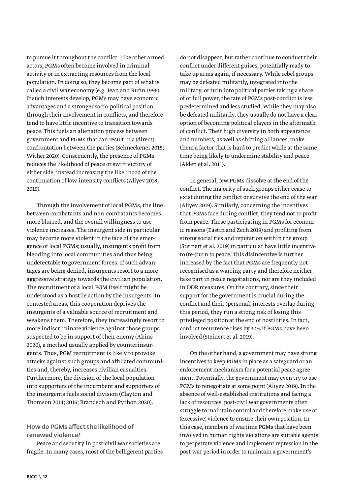<span id="page-11-0"></span>to pursue it throughout the conflict. Like other armed actors, PGMs often become involved in criminal activity or in extracting resources from the local population. In doing so, they become part of what is called a civil war economy (e.g. Jean and Rufin 1996). If such interests develop, PGMs may have economic advantages and a stronger socio-political position through their involvement in conflicts, and therefore tend to have little incentive to transition towards peace. This fuels an alienation process between government and PGMs that can result in a (direct) confrontation between the parties (Schneckener 2015; Wither 2020). Consequently, the presence of PGMs reduces the likelihood of peace or swift victory of either side, instead increasing the likelihood of the continuation of low-intensity conflicts (Aliyev 2018; 2019).

Through the involvement of local PGMs, the line between combatants and non-combatants becomes more blurred, and the overall willingness to use violence increases. The insurgent side in particular may become more violent in the face of the emergence of local PGMs; usually, insurgents profit from blending into local communities and thus being undetectable to government forces. If such advantages are being denied, insurgents resort to a more aggressive strategy towards the civilian population. The recruitment of a local PGM itself might be understood as a hostile action by the insurgents. In contested areas, this cooperation deprives the insurgents of a valuable source of recruitment and weakens them. Therefore, they increasingly resort to more indiscriminate violence against those groups suspected to be in support of their enemy (Akins 2020), a method usually applied by counterinsurgents. Thus, PGM recruitment is likely to provoke attacks against such groups and affiliated communities and, thereby, increases civilian casualties. Furthermore, the division of the local population into supporters of the incumbent and supporters of the insurgents fuels social division (Clayton and Thomson 2014; 2016; Brandsch and Python 2020).

## How do PGMs affect the likelihood of renewed violence?

Peace and security in post-civil war societies are fragile. In many cases, most of the belligerent parties

do not disappear, but rather continue to conduct their conflict under different guises, potentially ready to take up arms again, if necessary. While rebel groups may be defeated militarily, integrated into the military, or turn into political parties taking a share of or full power, the fate of PGMs post-conflict is less predetermined and less studied. While they may also be defeated militarily, they usually do not have a clear option of becoming political players in the aftermath of conflict. Their high diversity in both appearance and numbers, as well as shifting alliances, make them a factor that is hard to predict while at the same time being likely to undermine stability and peace (Alden et al. 2011).

In general, few PGMs dissolve at the end of the conflict. The majority of such groups either cease to exist during the conflict or survive the end of the war (Aliyev 2019). Similarly, concerning the incentives that PGMs face during conflict, they tend not to profit from peace. Those participating in PGMs for economic reasons (Eastin and Zech 2019) and profiting from strong social ties and reputation within the group (Steinert et al. 2019) in particular have little incentive to (re-)turn to peace. This disincentive is further increased by the fact that PGMs are frequently not recognised as a warring party and therefore neither take part in peace negotiations, nor are they included in DDR measures. On the contrary, since their support for the government is crucial during the conflict and their (personal) interests overlap during this period, they run a strong risk of losing this privileged position at the end of hostilities. In fact, conflict recurrence rises by 30% if PGMs have been involved (Steinert et al. 2019).

On the other hand, a government may have strong incentives to keep PGMs in place as a safeguard or an enforcement mechanism for a potential peace agreement. Potentially, the government may even try to use PGMs to renegotiate at some point (Aliyev 2019). In the absence of well-established institutions and facing a lack of resources, post-civil war governments often struggle to maintain control and therefore make use of (excessive) violence to ensure their own position. In this case, members of wartime PGMs that have been involved in human rights violations are suitable agents to perpetrate violence and implement repression in the post-war period in order to maintain a government's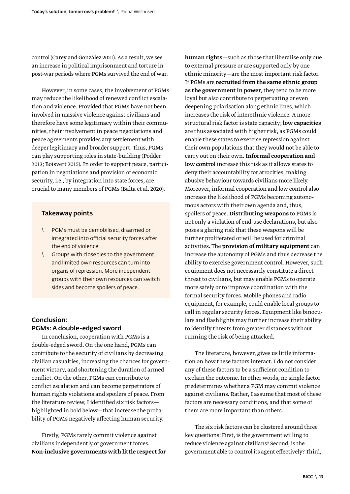<span id="page-12-0"></span>control (Carey and González 2021). As a result, we see an increase in political imprisonment and torture in post-war periods where PGMs survived the end of war.

However, in some cases, the involvement of PGMs may reduce the likelihood of renewed conflict escalation and violence. Provided that PGMs have not been involved in massive violence against civilians and therefore have some legitimacy within their communities, their involvement in peace negotiations and peace agreements provides any settlement with deeper legitimacy and broader support. Thus, PGMs can play supporting roles in state-building (Podder 2013; Boisvert 2015). In order to support peace, participation in negotiations and provision of economic security, i.e., by integration into state forces, are crucial to many members of PGMs (Balta et al. 2020).

#### Takeaway points

- \ PGMs must be demobilised, disarmed or integrated into official security forces after the end of violence.
- \ Groups with close ties to the government and limited own resources can turn into organs of repression. More independent groups with their own resources can switch sides and become spoilers of peace.

## Conclusion: PGMs: A double-edged sword

In conclusion, cooperation with PGMs is a double-edged sword. On the one hand, PGMs can contribute to the security of civilians by decreasing civilian casualties, increasing the chances for government victory, and shortening the duration of armed conflict. On the other, PGMs can contribute to conflict escalation and can become perpetrators of human rights violations and spoilers of peace. From the literature review, I identified six risk factors highlighted in bold below—that increase the probability of PGMs negatively affecting human security.

Firstly, PGMs rarely commit violence against civilians independently of government forces. Non-inclusive governments with little respect for human rights—such as those that liberalise only due to external pressure or are supported only by one ethnic minority—are the most important risk factor. If PGMs are recruited from the same ethnic group as the government in power, they tend to be more loyal but also contribute to perpetuating or even deepening polarisation along ethnic lines, which increases the risk of interethnic violence. A more structural risk factor is state capacity; low capacities are thus associated with higher risk, as PGMs could enable these states to exercise repression against their own populations that they would not be able to carry out on their own. Informal cooperation and low control increase this risk as it allows states to deny their accountability for atrocities, making abusive behaviour towards civilians more likely. Moreover, informal cooperation and low control also increase the likelihood of PGMs becoming autonomous actors with their own agenda and, thus, spoilers of peace. Distributing weapons to PGMs is not only a violation of end-use declarations, but also poses a glaring risk that these weapons will be further proliferated or will be used for criminal activities. The provision of military equipment can increase the autonomy of PGMs and thus decrease the ability to exercise government control. However, such equipment does not necessarily constitute a direct threat to civilians, but may enable PGMs to operate more safely or to improve coordination with the formal security forces. Mobile phones and radio equipment, for example, could enable local groups to call in regular security forces. Equipment like binoculars and flashlights may further increase their ability to identify threats from greater distances without running the risk of being attacked.

The literature, however, gives us little information on how these factors interact. I do not consider any of these factors to be a sufficient condition to explain the outcome. In other words, no single factor predetermines whether a PGM may commit violence against civilians. Rather, I assume that most of these factors are necessary conditions, and that some of them are more important than others.

The six risk factors can be clustered around three key questions: First, is the government willing to reduce violence against civilians? Second, is the government able to control its agent effectively? Third,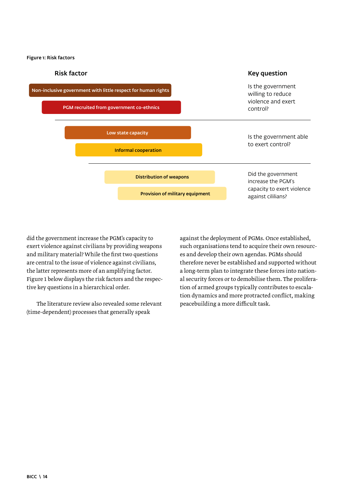Figure 1: Risk factors



did the government increase the PGM's capacity to exert violence against civilians by providing weapons and military material? While the first two questions are central to the issue of violence against civilians, the latter represents more of an amplifying factor. Figure 1 below displays the risk factors and the respective key questions in a hierarchical order.

The literature review also revealed some relevant (time-dependent) processes that generally speak

against the deployment of PGMs. Once established, such organisations tend to acquire their own resources and develop their own agendas. PGMs should therefore never be established and supported without a long-term plan to integrate these forces into national security forces or to demobilise them. The proliferation of armed groups typically contributes to escalation dynamics and more protracted conflict, making peacebuilding a more difficult task.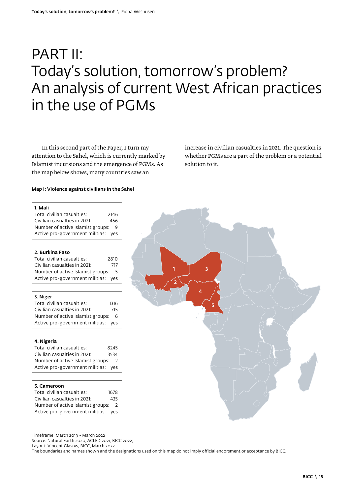## <span id="page-14-0"></span>PART II: Today's solution, tomorrow's problem? An analysis of current West African practices in the use of PGMs

In this second part of the Paper, I turn my attention to the Sahel, which is currently marked by Islamist incursions and the emergence of PGMs. As the map below shows, many countries saw an

increase in civilian casualties in 2021. The question is whether PGMs are a part of the problem or a potential solution to it.

#### Map I: Violence against civilians in the Sahel

| 1. Mali                              |      |
|--------------------------------------|------|
| Total civilian casualties:<br>2146   |      |
| Civilian casualties in 2021:         | 456  |
| Number of active Islamist groups:    | 9    |
| Active pro-government militias:      | ves  |
|                                      |      |
| 2. Burkina Faso                      |      |
| Total civilian casualties:<br>2810   |      |
| Civilian casualties in 2021:         | 717  |
| Number of active Islamist groups:    | 5    |
| Active pro-government militias:      | ves  |
| 3. Niger                             |      |
| Total civilian casualties:           | 1316 |
| Civilian casualties in 2021:         | 715  |
| Number of active Islamist groups: 6  |      |
| Active pro-government militias:      | ves  |
| 4. Nigeria                           |      |
| Total civilian casualties:<br>8245   |      |
| Civilian casualties in 2021:<br>3534 |      |
| Number of active Islamist groups: 2  |      |
| Active pro-government militias:      | ves  |
|                                      |      |
| 5. Cameroon                          |      |
| Total civilian casualties:<br>1678   |      |
| $\epsilon$ iulian anauskias in 2021. | 12E  |

| Total civilian casualties:          | 1678 |
|-------------------------------------|------|
| Civilian casualties in 2021:        | 435  |
| Number of active Islamist groups: 2 |      |
| Active pro-government militias: yes |      |



Timeframe: March 2019 - March 2022

Source: Natural Earth 2020, ACLED 2021, BICC 2022;

Layout: Vincent Glasow, BICC, March 2022

The boundaries and names shown and the designations used on this map do not imply official endorsment or acceptance by BICC.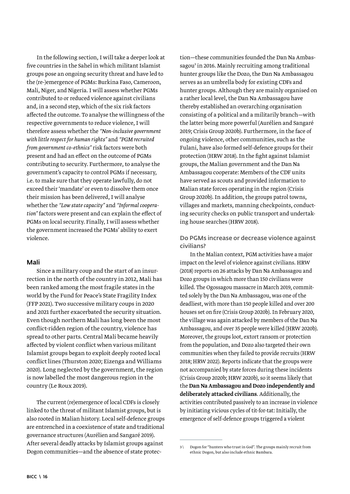<span id="page-15-0"></span>In the following section, I will take a deeper look at five countries in the Sahel in which militant Islamist groups pose an ongoing security threat and have led to the (re-)emergence of PGMs: Burkina Faso, Cameroon, Mali, Niger, and Nigeria. I will assess whether PGMs contributed to or reduced violence against civilians and, in a second step, which of the six risk factors affected the outcome. To analyse the willingness of the respective governments to reduce violence, I will therefore assess whether the *"Non-inclusive government with little respect for human rights"* and *"PGM recruited from government co-ethnics"* risk factors were both present and had an effect on the outcome of PGMs contributing to security. Furthermore, to analyse the government's capacity to control PGMs if necessary, i.e. to make sure that they operate lawfully, do not exceed their 'mandate' or even to dissolve them once their mission has been delivered, I will analyse whether the *"Low state capacity"* and *"Informal cooperation"* factors were present and can explain the effect of PGMs on local security. Finally, I will assess whether the government increased the PGMs' ability to exert violence.

#### Mali

Since a military coup and the start of an insurrection in the north of the country in 2012, Mali has been ranked among the most fragile states in the world by the Fund for Peace's State Fragility Index (FFP 2021). Two successive military coups in 2020 and 2021 further exacerbated the security situation. Even though northern Mali has long been the most conflict-ridden region of the country, violence has spread to other parts. Central Mali became heavily affected by violent conflict when various militant Islamist groups began to exploit deeply rooted local conflict lines (Thurston 2020; Eizenga and Williams 2020). Long neglected by the government, the region is now labelled the most dangerous region in the country (Le Roux 2019).

The current (re)emergence of local CDFs is closely linked to the threat of militant Islamist groups, but is also rooted in Malian history. Local self-defence groups are entrenched in a coexistence of state and traditional governance structures (Aurélien and Sangaré 2019). After several deadly attacks by Islamist groups against Dogon communities—and the absence of state protec-

tion—these communities founded the Dan Na Ambassagou<sup>3</sup> in 2016. Mainly recruiting among traditional hunter groups like the Dozo, the Dan Na Ambassagou serves as an umbrella body for existing CDFs and hunter groups. Although they are mainly organised on a rather local level, the Dan Na Ambassagou have thereby established an overarching organisation consisting of a political and a militarily branch—with the latter being more powerful (Aurélien and Sangaré 2019; Crisis Group 2020b). Furthermore, in the face of ongoing violence, other communities, such as the Fulani, have also formed self-defence groups for their protection (HRW 2018). In the fight against Islamist groups, the Malian government and the Dan Na Ambassagou cooperate: Members of the CDF units have served as scouts and provided information to Malian state forces operating in the region (Crisis Group 2020b). In addition, the groups patrol towns, villages and markets, manning checkpoints, conducting security checks on public transport and undertaking house searches (HRW 2018).

Do PGMs increase or decrease violence against civilians?

In the Malian context, PGM activities have a major impact on the level of violence against civilians. HRW (2018) reports on 26 attacks by Dan Na Ambassagou and Dozo groups in which more than 150 civilians were killed. The Ogossagou massacre in March 2019, committed solely by the Dan Na Ambassagou, was one of the deadliest, with more than 150 people killed and over 200 houses set on fire (Crisis Group 2020b). In February 2020, the village was again attacked by members of the Dan Na Ambassagou, and over 35 people were killed (HRW 2020b). Moreover, the groups loot, extort ransom or protection from the population, and Dozo also targeted their own communities when they failed to provide recruits (HRW 2018; HRW 2022). Reports indicate that the groups were not accompanied by state forces during these incidents (Crisis Group 2020b; HRW 2020b), so it seems likely that the Dan Na Ambassagou and Dozo independently and deliberately attacked civilians. Additionally, the activities contributed passively to an increase in violence by initiating vicious cycles of tit-for-tat: Initially, the emergence of self-defence groups triggered a violent

<sup>3 \</sup> Dogon for "hunters who trust in God". The groups mainly recruit from ethnic Dogon, but also include ethnic Bambara.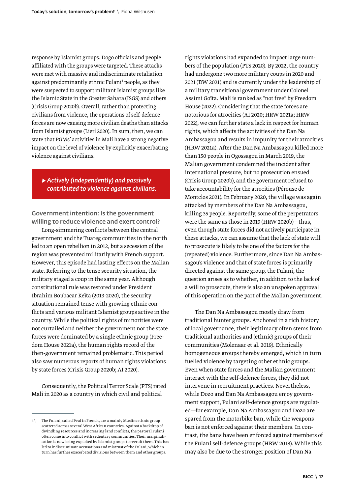response by Islamist groups. Dogo officials and people affiliated with the groups were targeted. These attacks were met with massive and indiscriminate retaliation against predominantly ethnic Fulani<sup>4</sup> people, as they were suspected to support militant Islamist groups like the Islamic State in the Greater Sahara (ISGS) and others (Crisis Group 2020b). Overall, rather than protecting civilians from violence, the operations of self-defence forces are now causing more civilian deaths than attacks from Islamist groups (Lierl 2020). In sum, then, we can state that PGMs' activities in Mali have a strong negative impact on the level of violence by explicitly exacerbating violence against civilians.

## *▶ Actively (independently) and passively contributed to violence against civilians.*

Government intention: Is the government willing to reduce violence and exert control?

Long-simmering conflicts between the central government and the Tuareg communities in the north led to an open rebellion in 2012, but a secession of the region was prevented militarily with French support. However, this episode had lasting effects on the Malian state. Referring to the tense security situation, the military staged a coup in the same year. Although constitutional rule was restored under President Ibrahim Boubacar Keïta (2013-2020), the security situation remained tense with growing ethnic conflicts and various militant Islamist groups active in the country. While the political rights of minorities were not curtailed and neither the government nor the state forces were dominated by a single ethnic group (Freedom House 2021a), the human rights record of the then-government remained problematic. This period also saw numerous reports of human rights violations by state forces (Crisis Group 2020b; AI 2020).

Consequently, the Political Terror Scale (PTS) rated Mali in 2020 as a country in which civil and political

rights violations had expanded to impact large numbers of the population (PTS 2020). By 2022, the country had undergone two more military coups in 2020 and 2021 (DW 2021) and is currently under the leadership of a military transitional government under Colonel Assimi Goïta. Mali is ranked as "not free" by Freedom House (2022). Considering that the state forces are notorious for atrocities (AI 2020; HRW 2021a; HRW 2022), we can further state a lack in respect for human rights, which affects the activities of the Dan Na Ambassagou and results in impunity for their atrocities (HRW 2021a). After the Dan Na Ambassagou killed more than 150 people in Ogossagou in March 2019, the Malian government condemned the incident after international pressure, but no prosecution ensued (Crisis Group 2020b), and the government refused to take accountability for the atrocities (Pérouse de Montclos 2021). In February 2020, the village was again attacked by members of the Dan Na Ambassagou, killing 35 people. Reportedly, some of the perpetrators were the same as those in 2019 (HRW 2020b)—thus, even though state forces did not actively participate in these attacks, we can assume that the lack of state will to prosecute is likely to be one of the factors for the (repeated) violence. Furthermore, since Dan Na Ambassagou's violence and that of state forces is primarily directed against the same group, the Fulani, the question arises as to whether, in addition to the lack of a will to prosecute, there is also an unspoken approval of this operation on the part of the Malian government.

The Dan Na Ambassagou mostly draw from traditional hunter groups. Anchored in a rich history of local governance, their legitimacy often stems from traditional authorities and (ethnic) groups of their communities (Molenaar et al. 2019). Ethnically homogeneous groups thereby emerged, which in turn fuelled violence by targeting other ethnic groups. Even when state forces and the Malian government interact with the self-defence forces, they did not intervene in recruitment practices. Nevertheless, while Dozo and Dan Na Ambassagou enjoy government support, Fulani self-defence groups are regulated—for example, Dan Na Ambassagou and Dozo are spared from the motorbike ban, while the weapons ban is not enforced against their members. In contrast, the bans have been enforced against members of the Fulani self-defence groups (HRW 2018). While this may also be due to the stronger position of Dan Na

 $4 \sqrt{ }$  The Fulani, called Peul in French, are a mainly Muslim ethnic group scattered across several West African countries. Against a backdrop of dwindling resources and increasing land conflicts, the pastoral Fulani often come into conflict with sedentary communities. Their marginalisation is now being exploited by Islamist groups to recruit them. This has led to indiscriminate accusations and mistrust of the Fulani, which in turn has further exacerbated divisions between them and other groups.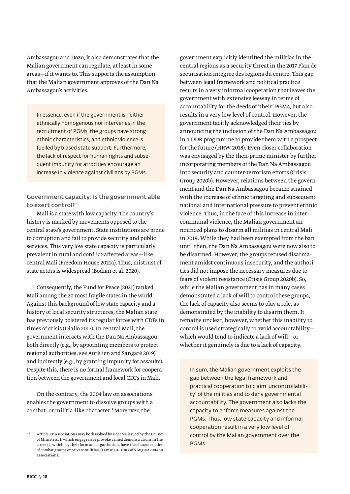Ambassagou and Dozo, it also demonstrates that the Malian government can regulate, at least in some areas—if it wants to. This supports the assumption that the Malian government approves of the Dan Na Ambassagou's activities.

In essence, even if the government is neither ethnically homogenous nor intervenes in the recruitment of PGMs, the groups have strong ethnic characteristics, and ethnic violence is fuelled by biased state support. Furthermore, the lack of respect for human rights and subsequent impunity for atrocities encourage an increase in violence against civilians by PGMs.

Government capacity: Is the government able to exert control?

Mali is a state with low capacity. The country's history is marked by movements opposed to the central state's government. State institutions are prone to corruption and fail to provide security and public services. This very low state capacity is particularly prevalent in rural and conflict-affected areas—like central Mali (Freedom House 2021a). Thus, mistrust of state actors is widespread (Bodian et al. 2020).

Consequently, the Fund for Peace (2021) ranked Mali among the 20 most fragile states in the world. Against this background of low state capacity and a history of local security structures, the Malian state has previously bolstered its regular forces with CDFs in times of crisis (Diallo 2017). In central Mali, the government interacts with the Dan Na Ambassagou both directly (e.g., by appointing members to protect regional authorities, see Aurélien and Sangaré 2019) and indirectly (e.g., by granting impunity for assaults). Despite this, there is no formal framework for cooperation between the government and local CDFs in Mali.

On the contrary, the 2004 law on associations enables the government to dissolve groups with a combat- or militia-like character.5 Moreover, the

government explicitly identified the militias in the central regions as a security threat in the 2017 Plan de securisation integree des regions du centre. This gap between legal framework and political practice results in a very informal cooperation that leaves the government with extensive leeway in terms of accountability for the deeds of 'their' PGMs, but also results in a very low level of control. However, the government tacitly acknowledged their ties by announcing the inclusion of the Dan Na Ambassagou in a DDR programme to provide them with a prospect for the future (HRW 2018). Even closer collaboration was envisaged by the then-prime minister by further incorporating members of the Dan Na Ambassagou into security and counter-terrorism efforts (Crisis Group 2020b). However, relations between the government and the Dan Na Ambassagou became strained with the increase of ethnic targeting and subsequent national and international pressure to prevent ethnic violence. Thus, in the face of this increase in intercommunal violence, the Malian government announced plans to disarm all militias in central Mali in 2019. While they had been exempted from the ban until then, the Dan Na Ambassagou were now also to be disarmed. However, the groups refused disarmament amidst continuous insecurity, and the authorities did not impose the necessary measures due to fears of violent resistance (Crisis Group 2020b). So, while the Malian government has in many cases demonstrated a lack of will to control these groups, the lack of capacity also seems to play a role, as demonstrated by the inability to disarm them. It remains unclear, however, whether this inability to control is used strategically to avoid accountability which would tend to indicate a lack of will—or whether it genuinely is due to a lack of capacity.

In sum, the Malian government exploits the gap between the legal framework and practical cooperation to claim 'uncontrollability' of the militias and to deny governmental accountability. The government also lacks the capacity to enforce measures against the PGMs. Thus, low state capacity and informal cooperation result in a very low level of control by the Malian government over the PGMs.

<sup>5 \</sup> Article 13: Associations may be dissolved by a decree issued by the Council of Ministers: 1. which engage in or provoke armed demonstrations in the street; 2. which, by their form and organisation, have the characteristics of combat groups or private militias. (Law n° 04 - 038 / of 5 August 2004 on associations)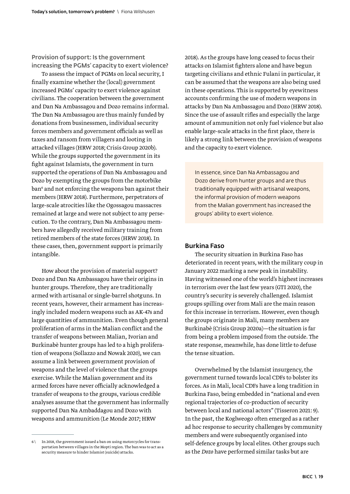<span id="page-18-0"></span>Provision of support: Is the government increasing the PGMs' capacity to exert violence?

To assess the impact of PGMs on local security, I finally examine whether the (local) government increased PGMs' capacity to exert violence against civilians. The cooperation between the government and Dan Na Ambassagou and Dozo remains informal. The Dan Na Ambassagou are thus mainly funded by donations from businessmen, individual security forces members and government officials as well as taxes and ransom from villagers and looting in attacked villages (HRW 2018; Crisis Group 2020b). While the groups supported the government in its fight against Islamists, the government in turn supported the operations of Dan Na Ambassagou and Dozo by exempting the groups from the motorbike ban<sup>6</sup> and not enforcing the weapons ban against their members (HRW 2018). Furthermore, perpetrators of large-scale atrocities like the Ogossagou massacres remained at large and were not subject to any persecution. To the contrary, Dan Na Ambassagou members have allegedly received military training from retired members of the state forces (HRW 2018). In these cases, then, government support is primarily intangible.

How about the provision of material support? Dozo and Dan Na Ambassagou have their origins in hunter groups. Therefore, they are traditionally armed with artisanal or single-barrel shotguns. In recent years, however, their armament has increasingly included modern weapons such as AK-47s and large quantities of ammunition. Even though general proliferation of arms in the Malian conflict and the transfer of weapons between Malian, Ivorian and Burkinabè hunter groups has led to a high proliferation of weapons (Sollazzo and Nowak 2020), we can assume a link between government provision of weapons and the level of violence that the groups exercise. While the Malian government and its armed forces have never officially acknowledged a transfer of weapons to the groups, various credible analyses assume that the government has informally supported Dan Na Ambaddagou and Dozo with weapons and ammunition (Le Monde 2017; HRW

2018). As the groups have long ceased to focus their attacks on Islamist fighters alone and have begun targeting civilians and ethnic Fulani in particular, it can be assumed that the weapons are also being used in these operations. This is supported by eyewitness accounts confirming the use of modern weapons in attacks by Dan Na Ambassagou and Dozo (HRW 2018). Since the use of assault rifles and especially the large amount of ammunition not only fuel violence but also enable large-scale attacks in the first place, there is likely a strong link between the provision of weapons and the capacity to exert violence.

In essence, since Dan Na Ambassagou and Dozo derive from hunter groups and are thus traditionally equipped with artisanal weapons, the informal provision of modern weapons from the Malian government has increased the groups' ability to exert violence.

#### Burkina Faso

The security situation in Burkina Faso has deteriorated in recent years, with the military coup in January 2022 marking a new peak in instability. Having witnessed one of the world's highest increases in terrorism over the last few years (GTI 2020), the country's security is severely challenged. Islamist groups spilling over from Mali are the main reason for this increase in terrorism. However, even though the groups originate in Mali, many members are Burkinabè (Crisis Group 2020a)—the situation is far from being a problem imposed from the outside. The state response, meanwhile, has done little to defuse the tense situation.

Overwhelmed by the Islamist insurgency, the government turned towards local CDFs to bolster its forces. As in Mali, local CDFs have a long tradition in Burkina Faso, being embedded in "national and even regional trajectories of co-production of security between local and national actors" (Tisseron 2021: 9). In the past, the Koglweogo often emerged as a rather ad hoc response to security challenges by community members and were subsequently organised into self-defence groups by local elites. Other groups such as the *Dozo* have performed similar tasks but are

 $6 \setminus$  In 2018, the government issued a ban on using motorcycles for transportation between villages in the Mopti region. The ban was to act as a security measure to hinder Islamist (suicide) attacks.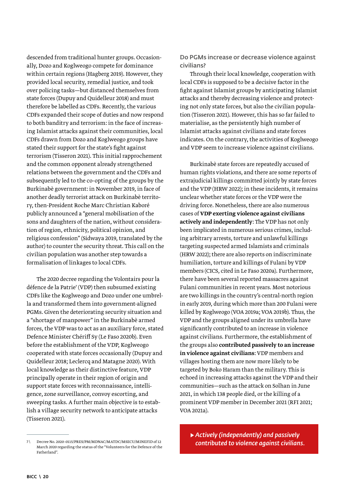descended from traditional hunter groups. Occasionally, Dozo and Koglweogo compete for dominance within certain regions (Hagberg 2019). However, they provided local security, remedial justice, and took over policing tasks—but distanced themselves from state forces (Dupuy and Quidelleur 2018) and must therefore be labelled as CDFs. Recently, the various CDFs expanded their scope of duties and now respond to both banditry and terrorism: in the face of increasing Islamist attacks against their communities, local CDFs drawn from Dozo and Koglweogo groups have stated their support for the state's fight against terrorism (Tisseron 2021). This initial rapprochement and the common opponent already strengthened relations between the government and the CDFs and subsequently led to the co-opting of the groups by the Burkinabè government: in November 2019, in face of another deadly terrorist attack on Burkinabè territory, then-President Roche Marc Christian Kaboré publicly announced a "general mobilisation of the sons and daughters of the nation, without consideration of region, ethnicity, political opinion, and religious confession" (Sidwaya 2019, translated by the author) to counter the security threat. This call on the civilian population was another step towards a formalisation of linkages to local CDFs.

The 2020 decree regarding the Volontairs pour la défence de la Patrie<sup>7</sup> (VDP) then subsumed existing CDFs like the Koglweogo and Dozo under one umbrella and transformed them into government-aligned PGMs. Given the deteriorating security situation and a "shortage of manpower" in the Burkinabè armed forces, the VDP was to act as an auxiliary force, stated Defence Minister Chériff Sy (Le Faso 2020b). Even before the establishment of the VDP, Koglweogo cooperated with state forces occasionally (Dupuy and Quidelleur 2018; Leclercq and Matagne 2020). With local knowledge as their distinctive feature, VDP principally operate in their region of origin and support state forces with reconnaissance, intelligence, zone surveillance, convoy escorting, and sweeping tasks. A further main objective is to establish a village security network to anticipate attacks (Tisseron 2021).

Do PGMs increase or decrease violence against civilians?

Through their local knowledge, cooperation with local CDFs is supposed to be a decisive factor in the fight against Islamist groups by anticipating Islamist attacks and thereby decreasing violence and protecting not only state forces, but also the civilian population (Tisseron 2021). However, this has so far failed to materialise, as the persistently high number of Islamist attacks against civilians and state forces indicates. On the contrary, the activities of Koglweogo and VDP seem to increase violence against civilians.

Burkinabè state forces are repeatedly accused of human rights violations, and there are some reports of extrajudicial killings committed jointly by state forces and the VDP (HRW 2022); in these incidents, it remains unclear whether state forces or the VDP were the driving force. Nonetheless, there are also numerous cases of VDP exerting violence against civilians actively and independently: The VDP has not only been implicated in numerous serious crimes, including arbitrary arrests, torture and unlawful killings targeting suspected armed Islamists and criminals (HRW 2022); there are also reports on indiscriminate humiliation, torture and killings of Fulani by VDP members (CICS, cited in Le Faso 2020a). Furthermore, there have been several reported massacres against Fulani communities in recent years. Most notorious are two killings in the country's central-north region in early 2019, during which more than 200 Fulani were killed by Koglweogo (VOA 2019a; VOA 2019b). Thus, the VDP and the groups aligned under its umbrella have significantly contributed to an increase in violence against civilians. Furthermore, the establishment of the groups also contributed passively to an increase in violence against civilians: VDP members and villages hosting them are now more likely to be targeted by Boko Haram than the military. This is echoed in increasing attacks against the VDP and their communities—such as the attack on Solhan in June 2021, in which 138 people died, or the killing of a prominent VDP member in December 2021 (RFI 2021; VOA 2021a).

▶ *Actively (independently) and passively contributed to violence against civilians.* 

<sup>7 \</sup> Decree No. 2020-0115/PRES/PM/MDNAC/MATDC/MSECU/MINEFID of 12 March 2020 regarding the status of the "Volunteers for the Defence of the Fatherland".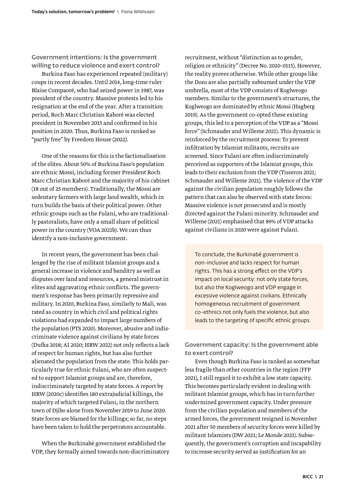Government intentions: Is the government willing to reduce violence and exert control?

Burkina Faso has experienced repeated (military) coups in recent decades. Until 2014, long-time ruler Blaise Compaoré, who had seized power in 1987, was president of the country. Massive protests led to his resignation at the end of the year. After a transition period, Roch Marc Christian Kaboré was elected president in November 2015 and confirmed in his position in 2020. Thus, Burkina Faso is ranked as "partly free" by Freedom House (2022).

One of the reasons for this is the factionalisation of the elites. About 50% of Burkina Faso's population are ethnic Mossi, including former President Roch Marc Christian Kaboré and the majority of his cabinet (18 out of 25 members). Traditionally, the Mossi are sedentary farmers with large land wealth, which in turn builds the basis of their political power. Other ethnic groups such as the Fulani, who are traditionally pastoralists, have only a small share of political power in the country (VOA 2021b). We can thus identify a non-inclusive government.

In recent years, the government has been challenged by the rise of militant Islamist groups and a general increase in violence and banditry as well as disputes over land and resources, a general mistrust in elites and aggravating ethnic conflicts. The government's response has been primarily repressive and military. In 2020, Burkina Faso, similarly to Mali, was rated as country in which civil and political rights violations had expanded to impact large numbers of the population (PTS 2020). Moreover, abusive and indiscriminate violence against civilians by state forces (Dufka 2018; AI 2020; HRW 2022) not only reflects a lack of respect for human rights, but has also further alienated the population from the state. This holds particularly true for ethnic Fulani, who are often suspected to support Islamist groups and are, therefore, indiscriminately targeted by state forces. A report by HRW (2020c) identifies 180 extrajudicial killings, the majority of which targeted Fulani, in the northern town of Djibo alone from November 2019 to June 2020. State forces are blamed for the killings; so far, no steps have been taken to hold the perpetrators accountable.

When the Burkinabè government established the VDP, they formally aimed towards non-discriminatory recruitment, without "distinction as to gender, religion or ethnicity" (Decree No. 2020-0115). However, the reality proves otherwise. While other groups like the Dozo are also partially subsumed under the VDP umbrella, most of the VDP consists of Koglweogo members. Similar to the government's structures, the Koglweogo are dominated by ethnic Mossi (Hagberg 2019). As the government co-opted these existing groups, this led to a perception of the VDP as a "Mossi force" (Schmauder and Willeme 2021). This dynamic is reinforced by the recruitment process: To prevent infiltration by Islamist militants, recruits are screened. Since Fulani are often indiscriminately perceived as supporters of the Islamist groups, this leads to their exclusion from the VDP (Tisseron 2021; Schmauder and Willeme 2021). The violence of the VDP against the civilian population roughly follows the pattern that can also be observed with state forces: Massive violence is not prosecuted and is mostly directed against the Fulani minority. Schmauder and Willeme (2021) emphasised that 89% of VDP attacks against civilians in 2020 were against Fulani.

To conclude, the Burkinabè government is non-inclusive and lacks respect for human rights. This has a strong effect on the VDP's impact on local security: not only state forces, but also the Koglweogo and VDP engage in excessive violence against civilians. Ethnically homogeneous recruitment of government co-ethnics not only fuels the violence, but also leads to the targeting of specific ethnic groups.

Government capacity: Is the government able to exert control?

Even though Burkina Faso is ranked as somewhat less fragile than other countries in the region (FFP 2021), I still regard it to exhibit a low state capacity. This becomes particularly evident in dealing with militant Islamist groups, which has in turn further undermined government capacity. Under pressure from the civilian population and members of the armed forces, the government resigned in November 2021 after 50 members of security forces were killed by militant Islamists (DW 2021; Le Monde 2021). Subsequently, the government's corruption and incapability to increase security served as justification for an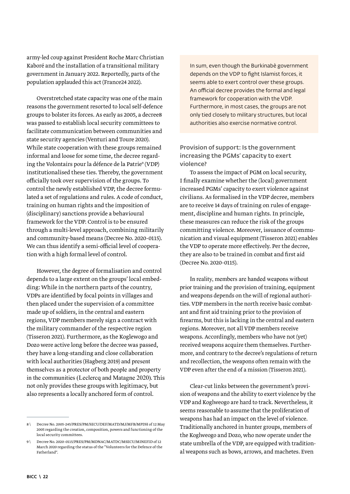army-led coup against President Roche Marc Christian Kaboré and the installation of a transitional military government in January 2022. Reportedly, parts of the population applauded this act (France24 2022).

Overstretched state capacity was one of the main reasons the government resorted to local self-defence groups to bolster its forces. As early as 2005, a decree8 was passed to establish local security committees to facilitate communication between communities and state security agencies (Venturi and Toure 2020). While state cooperation with these groups remained informal and loose for some time, the decree regarding the Volontairs pour la défence de la Patrie9 (VDP) institutionalised these ties. Thereby, the government officially took over supervision of the groups. To control the newly established VDP, the decree formulated a set of regulations and rules. A code of conduct, training on human rights and the imposition of (disciplinary) sanctions provide a behavioural framework for the VDP. Control is to be ensured through a multi-level approach, combining militarily and community-based means (Decree No. 2020-0115). We can thus identify a semi-official level of cooperation with a high formal level of control.

However, the degree of formalisation and control depends to a large extent on the groups' local embedding: While in the northern parts of the country, VDPs are identified by focal points in villages and then placed under the supervision of a committee made up of soldiers, in the central and eastern regions, VDP members merely sign a contract with the military commander of the respective region (Tisseron 2021). Furthermore, as the Koglewogo and Dozo were active long before the decree was passed, they have a long-standing and close collaboration with local authorities (Hagberg 2019) and present themselves as a protector of both people and property in the communities (Leclercq and Matagne 2020). This not only provides these groups with legitimacy, but also represents a locally anchored form of control.

In sum, even though the Burkinabè government depends on the VDP to fight Islamist forces, it seems able to exert control over these groups. An official decree provides the formal and legal framework for cooperation with the VDP. Furthermore, in most cases, the groups are not only tied closely to military structures, but local authorities also exercise normative control.

Provision of support: Is the government increasing the PGMs' capacity to exert violence?

To assess the impact of PGM on local security, I finally examine whether the (local) government increased PGMs' capacity to exert violence against civilians. As formalised in the VDP decree, members are to receive 14 days of training on rules of engagement, discipline and human rights. In principle, these measures can reduce the risk of the groups committing violence. Moreover, issuance of communication and visual equipment (Tisseron 2021) enables the VDP to operate more effectively. Per the decree, they are also to be trained in combat and first aid (Decree No. 2020-0115).

In reality, members are handed weapons without prior training and the provision of training, equipment and weapons depends on the will of regional authorities. VDP members in the north receive basic combatant and first aid training prior to the provision of firearms, but this is lacking in the central and eastern regions. Moreover, not all VDP members receive weapons. Accordingly, members who have not (yet) received weapons acquire them themselves. Furthermore, and contrary to the decree's regulations of return and recollection, the weapons often remain with the VDP even after the end of a mission (Tisseron 2021).

Clear-cut links between the government's provision of weapons and the ability to exert violence by the VDP and Koglweogo are hard to track. Nevertheless, it seems reasonable to assume that the proliferation of weapons has had an impact on the level of violence. Traditionally anchored in hunter groups, members of the Koglweogo and Dozo, who now operate under the state umbrella of the VDP, are equipped with traditional weapons such as bows, arrows, and machetes. Even

<sup>8 \</sup> Decree No. 2005-245/PRES/PM/SECU/DEF/MATD/MJ/MFB/MPDH of 12 May 2005 regarding the creation, composition, powers and functioning of the local security committees.

<sup>9 \</sup> Decree No. 2020-0115/PRES/PM/MDNAC/MATDC/MSECU/MINEFID of 12 March 2020 regarding the status of the "Volunteers for the Defence of the Fatherland".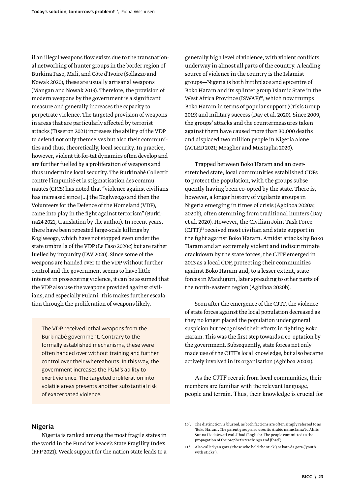<span id="page-22-0"></span>if an illegal weapons flow exists due to the transnational networking of hunter groups in the border region of Burkina Faso, Mali, and Côte d'Ivoire (Sollazzo and Nowak 2020), these are usually artisanal weapons (Mangan and Nowak 2019). Therefore, the provision of modern weapons by the government is a significant measure and generally increases the capacity to perpetrate violence. The targeted provision of weapons in areas that are particularly affected by terrorist attacks (Tisseron 2021) increases the ability of the VDP to defend not only themselves but also their communities and thus, theoretically, local security. In practice, however, violent tit-for-tat dynamics often develop and are further fuelled by a proliferation of weapons and thus undermine local security. The Burkinabè Collectif contre l'impunité et la stigmatisation des communautés (CICS) has noted that "violence against civilians has increased since [...] the Koglweogo and then the Volunteers for the Defence of the Homeland (VDP), came into play in the fight against terrorism" (Burkina24 2021, translation by the author). In recent years, there have been repeated large-scale killings by Koglweogo, which have not stopped even under the state umbrella of the VDP (Le Faso 2020c) but are rather fuelled by impunity (DW 2020). Since some of the weapons are handed over to the VDP without further control and the government seems to have little interest in prosecuting violence, it can be assumed that the VDP also use the weapons provided against civilians, and especially Fulani. This makes further escalation through the proliferation of weapons likely.

The VDP received lethal weapons from the Burkinabè government. Contrary to the formally established mechanisms, these were often handed over without training and further control over their whereabouts. In this way, the government increases the PGM's ability to exert violence. The targeted proliferation into volatile areas presents another substantial risk of exacerbated violence.

generally high level of violence, with violent conflicts underway in almost all parts of the country. A leading source of violence in the country is the Islamist groups—Nigeria is both birthplace and epicentre of Boko Haram and its splinter group Islamic State in the West Africa Province (ISWAP)<sup>10</sup>, which now trumps Boko Haram in terms of popular support (Crisis Group 2019) and military success (Day et al. 2020). Since 2009, the groups' attacks and the countermeasures taken against them have caused more than 30,000 deaths and displaced two million people in Nigeria alone (ACLED 2021; Meagher and Mustapha 2020).

Trapped between Boko Haram and an overstretched state, local communities established CDFs to protect the population, with the groups subsequently having been co-opted by the state. There is, however, a longer history of vigilante groups in Nigeria emerging in times of crisis (Agbiboa 2020a; 2020b), often stemming from traditional hunters (Day et al. 2020). However, the Civilian Joint Task Force (CJTF)11 received most civilian and state support in the fight against Boko Haram. Amidst attacks by Boko Haram and an extremely violent and indiscriminate crackdown by the state forces, the CJTF emerged in 2013 as a local CDF, protecting their communities against Boko Haram and, to a lesser extent, state forces in Maiduguri, later spreading to other parts of the north-eastern region (Agbiboa 2020b).

Soon after the emergence of the CJTF, the violence of state forces against the local population decreased as they no longer placed the population under general suspicion but recognised their efforts in fighting Boko Haram. This was the first step towards a co-optation by the government. Subsequently, state forces not only made use of the CJTF's local knowledge, but also became actively involved in its organisation (Agbiboa 2020a).

As the CJTF recruit from local communities, their members are familiar with the relevant language, people and terrain. Thus, their knowledge is crucial for

#### Nigeria

Nigeria is ranked among the most fragile states in the world in the Fund for Peace's State Fragility Index (FFP 2021). Weak support for the nation state leads to a

<sup>10 \</sup> The distinction is blurred, as both factions are often simply referred to as 'Boko Haram'. The parent group also uses its Arabic name Jama'tu Ahlis Sunna Lidda'awati wal-Jihad (English: 'The people committed to the propagation of the prophet's teachings and jihad').

<sup>11 \</sup> Also called yan gora ('those who hold the stick') or kato da gora ('youth with sticks').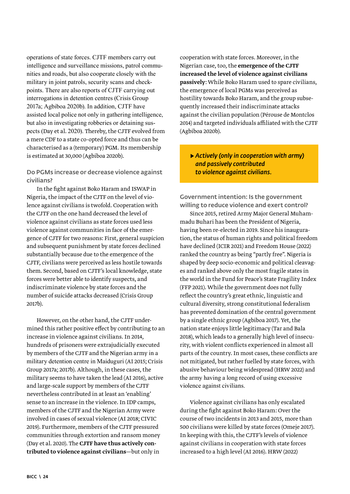operations of state forces. CJTF members carry out intelligence and surveillance missions, patrol communities and roads, but also cooperate closely with the military in joint patrols, security scans and checkpoints. There are also reports of CJTF carrying out interrogations in detention centres (Crisis Group 2017a; Agbiboa 2020b). In addition, CJTF have assisted local police not only in gathering intelligence, but also in investigating robberies or detaining suspects (Day et al. 2020). Thereby, the CJTF evolved from a mere CDF to a state co-opted force and thus can be characterised as a (temporary) PGM. Its membership is estimated at 30,000 (Agbiboa 2020b).

## Do PGMs increase or decrease violence against civilians?

In the fight against Boko Haram and ISWAP in Nigeria, the impact of the CJTF on the level of violence against civilians is twofold. Cooperation with the CJTF on the one hand decreased the level of violence against civilians as state forces used less violence against communities in face of the emergence of CJTF for two reasons: First, general suspicion and subsequent punishment by state forces declined substantially because due to the emergence of the CJTF, civilians were perceived as less hostile towards them. Second, based on CJTF's local knowledge, state forces were better able to identify suspects, and indiscriminate violence by state forces and the number of suicide attacks decreased (Crisis Group 2017b).

However, on the other hand, the CJTF undermined this rather positive effect by contributing to an increase in violence against civilians. In 2014, hundreds of prisoners were extrajudicially executed by members of the CJTF and the Nigerian army in a military detention centre in Maiduguri (AI 2015; Crisis Group 2017a; 2017b). Although, in these cases, the military seems to have taken the lead (AI 2016), active and large-scale support by members of the CJTF nevertheless contributed in at least an 'enabling' sense to an increase in the violence. In IDP camps, members of the CJTF and the Nigerian Army were involved in cases of sexual violence (AI 2018; CIVIC 2019). Furthermore, members of the CJTF pressured communities through extortion and ransom money (Day et al. 2020). The CJTF have thus actively contributed to violence against civilians—but only in

cooperation with state forces. Moreover, in the Nigerian case, too, the emergence of the CJTF increased the level of violence against civilians passively: While Boko Haram used to spare civilians, the emergence of local PGMs was perceived as hostility towards Boko Haram, and the group subsequently increased their indiscriminate attacks against the civilian population (Pérouse de Montclos 2014) and targeted individuals affiliated with the CJTF (Agbiboa 2020b).

## ▶ *Actively (only in cooperation with army) and passively contributed to violence against civilians.*

Government intention: Is the government willing to reduce violence and exert control?

Since 2015, retired Army Major General Muhammadu Buhari has been the President of Nigeria, having been re-elected in 2019. Since his inauguration, the status of human rights and political freedom have declined (ICIR 2021) and Freedom House (2022) ranked the country as being "partly free". Nigeria is shaped by deep socio-economic and political cleavages and ranked above only the most fragile states in the world in the Fund for Peace's State Fragility Index (FFP 2021). While the government does not fully reflect the country's great ethnic, linguistic and cultural diversity, strong constitutional federalism has prevented domination of the central government by a single ethnic group (Agbiboa 2017). Yet, the nation state enjoys little legitimacy (Tar and Bala 2018), which leads to a generally high level of insecurity, with violent conflicts experienced in almost all parts of the country. In most cases, these conflicts are not mitigated, but rather fuelled by state forces, with abusive behaviour being widespread (HRW 2022) and the army having a long record of using excessive violence against civilians.

Violence against civilians has only escalated during the fight against Boko Haram: Over the course of two incidents in 2013 and 2015, more than 500 civilians were killed by state forces (Omeje 2017). In keeping with this, the CJTF's levels of violence against civilians in cooperation with state forces increased to a high level (AI 2016). HRW (2022)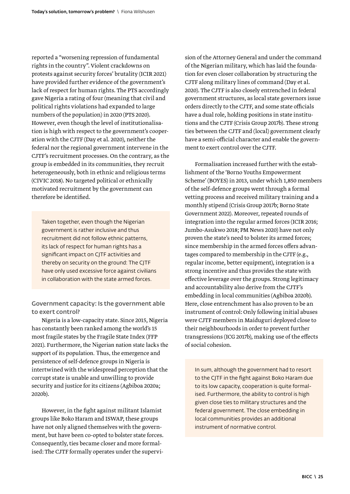reported a "worsening repression of fundamental rights in the country". Violent crackdowns on protests against security forces' brutality (ICIR 2021) have provided further evidence of the government's lack of respect for human rights. The PTS accordingly gave Nigeria a rating of four (meaning that civil and political rights violations had expanded to large numbers of the population) in 2020 (PTS 2020). However, even though the level of institutionalisation is high with respect to the government's cooperation with the CJTF (Day et al. 2020), neither the federal nor the regional government intervene in the CJTF's recruitment processes. On the contrary, as the group is embedded in its communities, they recruit heterogeneously, both in ethnic and religious terms (CIVIC 2018). No targeted political or ethnically motivated recruitment by the government can therefore be identified.

Taken together, even though the Nigerian government is rather inclusive and thus recruitment did not follow ethnic patterns, its lack of respect for human rights has a significant impact on CJTF activities and thereby on security on the ground: The CJTF have only used excessive force against civilians in collaboration with the state armed forces.

Government capacity: Is the government able to exert control?

Nigeria is a low-capacity state. Since 2015, Nigeria has constantly been ranked among the world's 15 most fragile states by the Fragile State Index (FFP 2021). Furthermore, the Nigerian nation state lacks the support of its population. Thus, the emergence and persistence of self-defence groups in Nigeria is intertwined with the widespread perception that the corrupt state is unable and unwilling to provide security and justice for its citizens (Agbiboa 2020a; 2020b).

However, in the fight against militant Islamist groups like Boko Haram and ISWAP, these groups have not only aligned themselves with the government, but have been co-opted to bolster state forces. Consequently, ties became closer and more formalised: The CJTF formally operates under the supervision of the Attorney General and under the command of the Nigerian military, which has laid the foundation for even closer collaboration by structuring the CJTF along military lines of command (Day et al. 2020). The CJTF is also closely entrenched in federal government structures, as local state governors issue orders directly to the CJTF, and some state officials have a dual role, holding positions in state institutions and the CJTF (Crisis Group 2017b). These strong ties between the CJTF and (local) government clearly have a semi-official character and enable the government to exert control over the CJTF.

Formalisation increased further with the establishment of the 'Borno Youths Empowerment Scheme' (BOYES) in 2013, under which 1,850 members of the self-defence groups went through a formal vetting process and received military training and a monthly stipend (Crisis Group 2017b; Borno State Government 2022). Moreover, repeated rounds of integration into the regular armed forces (ICIR 2016; Jumbo-Asukwo 2018; PM News 2020) have not only proven the state's need to bolster its armed forces; since membership in the armed forces offers advantages compared to membership in the CJTF (e.g., regular income, better equipment), integration is a strong incentive and thus provides the state with effective leverage over the groups. Strong legitimacy and accountability also derive from the CJTF's embedding in local communities (Agbiboa 2020b). Here, close entrenchment has also proven to be an instrument of control: Only following initial abuses were CJTF members in Maiduguri deployed close to their neighbourhoods in order to prevent further transgressions (ICG 2017b), making use of the effects of social cohesion.

In sum, although the government had to resort to the CJTF in the fight against Boko Haram due to its low capacity, cooperation is quite formalised. Furthermore, the ability to control is high given close ties to military structures and the federal government. The close embedding in local communities provides an additional instrument of normative control.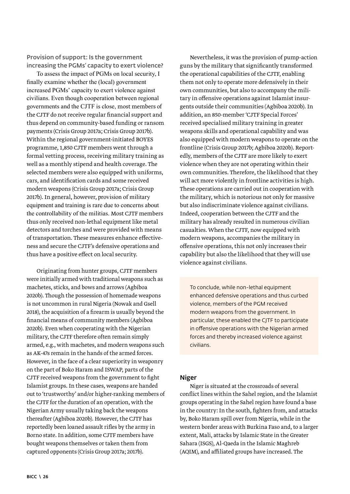<span id="page-25-0"></span>Provision of support: Is the government increasing the PGMs' capacity to exert violence?

To assess the impact of PGMs on local security, I finally examine whether the (local) government increased PGMs' capacity to exert violence against civilians. Even though cooperation between regional governments and the CJTF is close, most members of the CJTF do not receive regular financial support and thus depend on community-based funding or ransom payments (Crisis Group 2017a; Crisis Group 2017b). Within the regional government-initiated BOYES programme, 1,850 CJTF members went through a formal vetting process, receiving military training as well as a monthly stipend and health coverage. The selected members were also equipped with uniforms, cars, and identification cards and some received modern weapons (Crisis Group 2017a; Crisis Group 2017b). In general, however, provision of military equipment and training is rare due to concerns about the controllability of the militias. Most CJTF members thus only received non-lethal equipment like metal detectors and torches and were provided with means of transportation. These measures enhance effectiveness and secure the CJTF's defensive operations and thus have a positive effect on local security.

Originating from hunter groups, CJTF members were initially armed with traditional weapons such as machetes, sticks, and bows and arrows (Agbiboa 2020b). Though the possession of homemade weapons is not uncommon in rural Nigeria (Nowak and Gsell 2018), the acquisition of a firearm is usually beyond the financial means of community members (Agbiboa 2020b). Even when cooperating with the Nigerian military, the CJTF therefore often remain simply armed, e.g., with machetes, and modern weapons such as AK-47s remain in the hands of the armed forces. However, in the face of a clear superiority in weaponry on the part of Boko Haram and ISWAP, parts of the CJTF received weapons from the government to fight Islamist groups. In these cases, weapons are handed out to 'trustworthy' and/or higher-ranking members of the CJTF for the duration of an operation, with the Nigerian Army usually taking back the weapons thereafter (Agbiboa 2020b). However, the CJTF has reportedly been loaned assault rifles by the army in Borno state. In addition, some CJTF members have bought weapons themselves or taken them from captured opponents (Crisis Group 2017a; 2017b).

Nevertheless, it was the provision of pump-action guns by the military that significantly transformed the operational capabilities of the CJTF, enabling them not only to operate more defensively in their own communities, but also to accompany the military in offensive operations against Islamist insurgents outside their communities (Agbiboa 2020b). In addition, an 850-member 'CJTF Special Forces' received specialised military training in greater weapons skills and operational capability and was also equipped with modern weapons to operate on the frontline (Crisis Group 2017b; Agbiboa 2020b). Reportedly, members of the CJTF are more likely to exert violence when they are not operating within their own communities. Therefore, the likelihood that they will act more violently in frontline activities is high. These operations are carried out in cooperation with the military, which is notorious not only for massive but also indiscriminate violence against civilians. Indeed, cooperation between the CJTF and the military has already resulted in numerous civilian casualties. When the CJTF, now equipped with modern weapons, accompanies the military in offensive operations, this not only increases their capability but also the likelihood that they will use violence against civilians.

To conclude, while non-lethal equipment enhanced defensive operations and thus curbed violence, members of the PGM received modern weapons from the government. In particular, these enabled the CJTF to participate in offensive operations with the Nigerian armed forces and thereby increased violence against civilians.

#### Niger

Niger is situated at the crossroads of several conflict lines within the Sahel region, and the Islamist groups operating in the Sahel region have found a base in the country: In the south, fighters from, and attacks by, Boko Haram spill over from Nigeria, while in the western border areas with Burkina Faso and, to a larger extent, Mali, attacks by Islamic State in the Greater Sahara (ISGS), Al-Qaeda in the Islamic Maghreb (AQIM), and affiliated groups have increased. The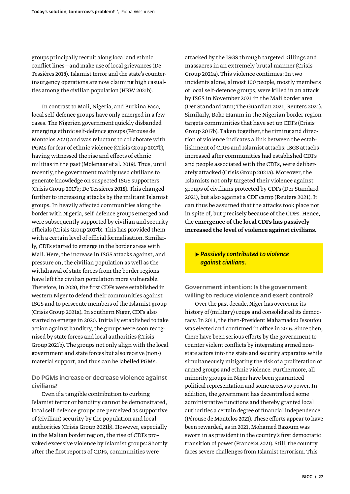groups principally recruit along local and ethnic conflict lines—and make use of local grievances (De Tessières 2018). Islamist terror and the state's counterinsurgency operations are now claiming high casualties among the civilian population (HRW 2021b).

In contrast to Mali, Nigeria, and Burkina Faso, local self-defence groups have only emerged in a few cases. The Nigerien government quickly disbanded emerging ethnic self-defence groups (Pérouse de Montclos 2021) and was reluctant to collaborate with PGMs for fear of ethnic violence (Crisis Group 2017b), having witnessed the rise and effects of ethnic militias in the past (Molenaar et al. 2019). Thus, until recently, the government mainly used civilians to generate knowledge on suspected ISGS supporters (Crisis Group 2017b; De Tessières 2018). This changed further to increasing attacks by the militant Islamist groups. In heavily affected communities along the border with Nigeria, self-defence groups emerged and were subsequently supported by civilian and security officials (Crisis Group 2017b). This has provided them with a certain level of official formalisation. Similarly, CDFs started to emerge in the border areas with Mali. Here, the increase in ISGS attacks against, and pressure on, the civilian population as well as the withdrawal of state forces from the border regions have left the civilian population more vulnerable. Therefore, in 2020, the first CDFs were established in western Niger to defend their communities against ISGS and to persecute members of the Islamist group (Crisis Group 2021a). In southern Niger, CDFs also started to emerge in 2020. Initially established to take action against banditry, the groups were soon recognised by state forces and local authorities (Crisis Group 2021b). The groups not only align with the local government and state forces but also receive (non-) material support, and thus can be labelled PGMs.

## Do PGMs increase or decrease violence against civilians?

Even if a tangible contribution to curbing Islamist terror or banditry cannot be demonstrated, local self-defence groups are perceived as supportive of (civilian) security by the population and local authorities (Crisis Group 2021b). However, especially in the Malian border region, the rise of CDFs provoked excessive violence by Islamist groups: Shortly after the first reports of CDFs, communities were

attacked by the ISGS through targeted killings and massacres in an extremely brutal manner (Crisis Group 2021a). This violence continues: In two incidents alone, almost 100 people, mostly members of local self-defence groups, were killed in an attack by ISGS in November 2021 in the Mali border area (Der Standard 2021; The Guardian 2021; Reuters 2021). Similarly, Boko Haram in the Nigerian border region targets communities that have set up CDFs (Crisis Group 2017b). Taken together, the timing and direction of violence indicates a link between the establishment of CDFs and Islamist attacks: ISGS attacks increased after communities had established CDFs and people associated with the CDFs, were deliberately attacked (Crisis Group 2021a). Moreover, the Islamists not only targeted their violence against groups of civilians protected by CDFs (Der Standard 2021), but also against a CDF camp (Reuters 2021). It can thus be assumed that the attacks took place not in spite of, but precisely because of the CDFs. Hence, the emergence of the local CDFs has passively increased the level of violence against civilians.

## ▶ *Passively contributed to violence against civilians.*

Government intention: Is the government willing to reduce violence and exert control?

Over the past decade, Niger has overcome its history of (military) coups and consolidated its democracy. In 2011, the then-President Mahamadou Issoufou was elected and confirmed in office in 2016. Since then, there have been serious efforts by the government to counter violent conflicts by integrating armed nonstate actors into the state and security apparatus while simultaneously mitigating the risk of a proliferation of armed groups and ethnic violence. Furthermore, all minority groups in Niger have been guaranteed political representation and some access to power. In addition, the government has decentralised some administrative functions and thereby granted local authorities a certain degree of financial independence (Pérouse de Montclos 2021). These efforts appear to have been rewarded, as in 2021, Mohamed Bazoum was sworn in as president in the country's first democratic transition of power (France24 2021). Still, the country faces severe challenges from Islamist terrorism. This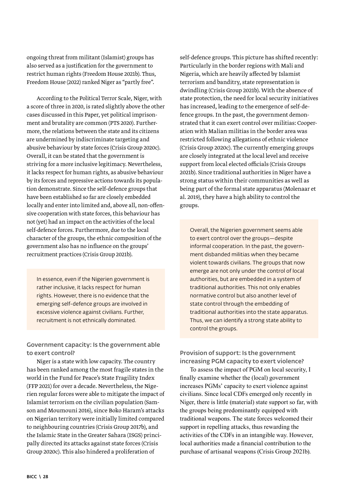ongoing threat from militant (Islamist) groups has also served as a justification for the government to restrict human rights (Freedom House 2021b). Thus, Freedom House (2022) ranked Niger as "partly free".

According to the Political Terror Scale, Niger, with a score of three in 2020, is rated slightly above the other cases discussed in this Paper, yet political imprisonment and brutality are common (PTS 2020). Furthermore, the relations between the state and its citizens are undermined by indiscriminate targeting and abusive behaviour by state forces (Crisis Group 2020c). Overall, it can be stated that the government is striving for a more inclusive legitimacy. Nevertheless, it lacks respect for human rights, as abusive behaviour by its forces and repressive actions towards its population demonstrate. Since the self-defence groups that have been established so far are closely embedded locally and enter into limited and, above all, non-offensive cooperation with state forces, this behaviour has not (yet) had an impact on the activities of the local self-defence forces. Furthermore, due to the local character of the groups, the ethnic composition of the government also has no influence on the groups' recruitment practices (Crisis Group 2021b).

In essence, even if the Nigerien government is rather inclusive, it lacks respect for human rights. However, there is no evidence that the emerging self-defence groups are involved in excessive violence against civilians. Further, recruitment is not ethnically dominated.

Government capacity: Is the government able to exert control?

Niger is a state with low capacity. The country has been ranked among the most fragile states in the world in the Fund for Peace's State Fragility Index (FFP 2021) for over a decade. Nevertheless, the Nigerien regular forces were able to mitigate the impact of Islamist terrorism on the civilian population (Samson and Moumouni 2016), since Boko Haram's attacks on Nigerian territory were initially limited compared to neighbouring countries (Crisis Group 2017b), and the Islamic State in the Greater Sahara (ISGS) principally directed its attacks against state forces (Crisis Group 2020c). This also hindered a proliferation of

self-defence groups. This picture has shifted recently: Particularly in the border regions with Mali and Nigeria, which are heavily affected by Islamist terrorism and banditry, state representation is dwindling (Crisis Group 2021b). With the absence of state protection, the need for local security initiatives has increased, leading to the emergence of self-defence groups. In the past, the government demonstrated that it can exert control over militias: Cooperation with Malian militias in the border area was restricted following allegations of ethnic violence (Crisis Group 2020c). The currently emerging groups are closely integrated at the local level and receive support from local elected officials (Crisis Groups 2021b). Since traditional authorities in Niger have a strong status within their communities as well as being part of the formal state apparatus (Molenaar et al. 2019), they have a high ability to control the groups.

Overall, the Nigerien government seems able to exert control over the groups—despite informal cooperation. In the past, the government disbanded militias when they became violent towards civilians. The groups that now emerge are not only under the control of local authorities, but are embedded in a system of traditional authorities. This not only enables normative control but also another level of state control through the embedding of traditional authorities into the state apparatus. Thus, we can identify a strong state ability to control the groups.

Provision of support: Is the government increasing PGM capacity to exert violence?

To assess the impact of PGM on local security, I finally examine whether the (local) government increases PGMs' capacity to exert violence against civilians. Since local CDFs emerged only recently in Niger, there is little (material) state support so far, with the groups being predominantly equipped with traditional weapons. The state forces welcomed their support in repelling attacks, thus rewarding the activities of the CDFs in an intangible way. However, local authorities made a financial contribution to the purchase of artisanal weapons (Crisis Group 2021b).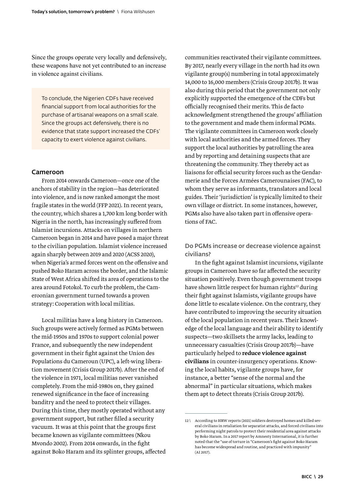<span id="page-28-0"></span>Since the groups operate very locally and defensively, these weapons have not yet contributed to an increase in violence against civilians.

To conclude, the Nigerien CDFs have received financial support from local authorities for the purchase of artisanal weapons on a small scale. Since the groups act defensively, there is no evidence that state support increased the CDFs' capacity to exert violence against civilians.

#### Cameroon

From 2014 onwards Cameroon—once one of the anchors of stability in the region—has deteriorated into violence, and is now ranked amongst the most fragile states in the world (FFP 2021). In recent years, the country, which shares a 1,700 km long border with Nigeria in the north, has increasingly suffered from Islamist incursions. Attacks on villages in northern Cameroon began in 2014 and have posed a major threat to the civilian population. Islamist violence increased again sharply between 2019 and 2020 (ACSS 2020), when Nigeria's armed forces went on the offensive and pushed Boko Haram across the border, and the Islamic State of West Africa shifted its area of operations to the area around Fotokol. To curb the problem, the Cameroonian government turned towards a proven strategy: Cooperation with local militias.

Local militias have a long history in Cameroon. Such groups were actively formed as PGMs between the mid-1950s and 1970s to support colonial power France, and subsequently the new independent government in their fight against the Union des Populations du Cameroun (UPC), a left-wing liberation movement (Crisis Group 2017b). After the end of the violence in 1971, local militias never vanished completely. From the mid-1980s on, they gained renewed significance in the face of increasing banditry and the need to protect their villages. During this time, they mostly operated without any government support, but rather filled a security vacuum. It was at this point that the groups first became known as vigilante committees (Nkou Mvondo 2002). From 2014 onwards, in the fight against Boko Haram and its splinter groups, affected

communities reactivated their vigilante committees. By 2017, nearly every village in the north had its own vigilante group(s) numbering in total approximately 14,000 to 16,000 members (Crisis Group 2017b). It was also during this period that the government not only explicitly supported the emergence of the CDFs but officially recognised their merits. This de facto acknowledgment strengthened the groups' affiliation to the government and made them informal PGMs. The vigilante committees in Cameroon work closely with local authorities and the armed forces. They support the local authorities by patrolling the area and by reporting and detaining suspects that are threatening the community. They thereby act as liaisons for official security forces such as the Gendarmerie and the Forces Armées Camerounaises (FAC), to whom they serve as informants, translators and local guides. Their 'jurisdiction' is typically limited to their own village or district. In some instances, however, PGMs also have also taken part in offensive operations of FAC.

Do PGMs increase or decrease violence against civilians?

In the fight against Islamist incursions, vigilante groups in Cameroon have so far affected the security situation positively. Even though government troops have shown little respect for human rights<sup>12</sup> during their fight against Islamists, vigilante groups have done little to escalate violence. On the contrary, they have contributed to improving the security situation of the local population in recent years. Their knowledge of the local language and their ability to identify suspects—two skillsets the army lacks, leading to unnecessary casualties (Crisis Group 2017b)—have particularly helped to reduce violence against civilians in counter-insurgency operations. Knowing the local habits, vigilante groups have, for instance, a better "sense of the normal and the abnormal" in particular situations, which makes them apt to detect threats (Crisis Group 2017b).

<sup>12 \</sup> According to HRW reports (2021) soldiers destroyed homes and killed several civilians in retaliation for separatist attacks, and forced civilians into performing night patrols to protect their residential area against attacks by Boko Haram. In a 2017 report by Amnesty International, it is further noted that the "use of torture in "Cameroon's fight against Boko Haram has become widespread and routine, and practiced with impunity" (AI 2017).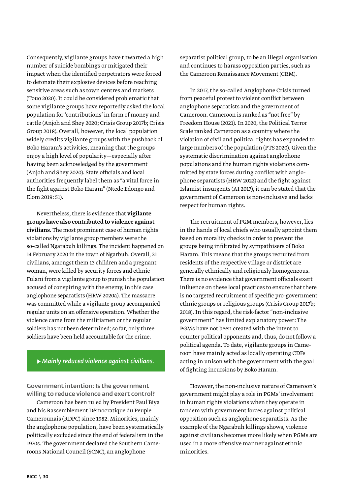Consequently, vigilante groups have thwarted a high number of suicide bombings or mitigated their impact when the identified perpetrators were forced to detonate their explosive devices before reaching sensitive areas such as town centres and markets (Touo 2020). It could be considered problematic that some vigilante groups have reportedly asked the local population for 'contributions' in form of money and cattle (Anjoh and Shey 2020; Crisis Group 2017b; Crisis Group 2018). Overall, however, the local population widely credits vigilante groups with the pushback of Boko Haram's activities, meaning that the groups enjoy a high level of popularity—especially after having been acknowledged by the government (Anjoh and Shey 2020). State officials and local authorities frequently label them as "a vital force in the fight against Boko Haram" (Ntede Edongo and Elom 2019: 51).

Nevertheless, there is evidence that vigilante groups have also contributed to violence against civilians. The most prominent case of human rights violations by vigilante group members were the so-called Ngarabuh killings. The incident happened on 14 February 2020 in the town of Ngarbuh. Overall, 21 civilians, amongst them 13 children and a pregnant woman, were killed by security forces and ethnic Fulani from a vigilante group to punish the population accused of conspiring with the enemy, in this case anglophone separatists (HRW 2020a). The massacre was committed while a vigilante group accompanied regular units on an offensive operation. Whether the violence came from the militiamen or the regular soldiers has not been determined; so far, only three soldiers have been held accountable for the crime.

## ▶ *Mainly reduced violence against civilians.*

Government intention: Is the government willing to reduce violence and exert control?

Cameroon has been ruled by President Paul Biya and his Rassemblement Démocratique du Peuple Camerounais (RDPC) since 1982. Minorities, mainly the anglophone population, have been systematically politically excluded since the end of federalism in the 1970s. The government declared the Southern Cameroons National Council (SCNC), an anglophone

separatist political group, to be an illegal organisation and continues to harass opposition parties, such as the Cameroon Renaissance Movement (CRM).

In 2017, the so-called Anglophone Crisis turned from peaceful protest to violent conflict between anglophone separatists and the government of Cameroon. Cameroon is ranked as "not free" by Freedom House (2021). In 2020, the Political Terror Scale ranked Cameroon as a country where the violation of civil and political rights has expanded to large numbers of the population (PTS 2020). Given the systematic discrimination against anglophone populations and the human rights violations committed by state forces during conflict with anglophone separatists (HRW 2022) and the fight against Islamist insurgents (AI 2017), it can be stated that the government of Cameroon is non-inclusive and lacks respect for human rights.

The recruitment of PGM members, however, lies in the hands of local chiefs who usually appoint them based on morality checks in order to prevent the groups being infiltrated by sympathisers of Boko Haram. This means that the groups recruited from residents of the respective village or district are generally ethnically and religiously homogeneous. There is no evidence that government officials exert influence on these local practices to ensure that there is no targeted recruitment of specific pro-government ethnic groups or religious groups (Crisis Group 2017b; 2018). In this regard, the risk-factor "non-inclusive government" has limited explanatory power: The PGMs have not been created with the intent to counter political opponents and, thus, do not follow a political agenda. To date, vigilante groups in Cameroon have mainly acted as locally operating CDFs acting in unison with the government with the goal of fighting incursions by Boko Haram.

However, the non-inclusive nature of Cameroon's government might play a role in PGMs' involvement in human rights violations when they operate in tandem with government forces against political opposition such as anglophone separatists. As the example of the Ngarabuh killings shows, violence against civilians becomes more likely when PGMs are used in a more offensive manner against ethnic minorities.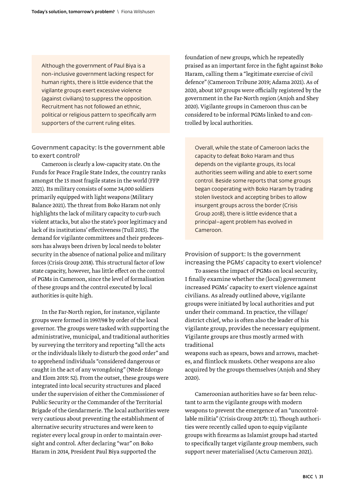Although the government of Paul Biya is a non-inclusive government lacking respect for human rights, there is little evidence that the vigilante groups exert excessive violence (against civilians) to suppress the opposition. Recruitment has not followed an ethnic, political or religious pattern to specifically arm supporters of the current ruling elites.

Government capacity: Is the government able to exert control?

Cameroon is clearly a low-capacity state. On the Funds for Peace Fragile State Index, the country ranks amongst the 15 most fragile states in the world (FFP 2021). Its military consists of some 34,000 soldiers primarily equipped with light weapons (Military Balance 2021). The threat from Boko Haram not only highlights the lack of military capacity to curb such violent attacks, but also the state's poor legitimacy and lack of its institutions' effectiveness (Tull 2015). The demand for vigilante committees and their predecessors has always been driven by local needs to bolster security in the absence of national police and military forces (Crisis Group 2018). This structural factor of low state capacity, however, has little effect on the control of PGMs in Cameroon, since the level of formalisation of these groups and the control executed by local authorities is quite high.

In the Far-North region, for instance, vigilante groups were formed in 1997/98 by order of the local governor. The groups were tasked with supporting the administrative, municipal, and traditional authorities by surveying the territory and reporting "all the acts or the individuals likely to disturb the good order" and to apprehend individuals "considered dangerous or caught in the act of any wrongdoing" (Ntede Edongo and Elom 2019: 52). From the outset, these groups were integrated into local security structures and placed under the supervision of either the Commissioner of Public Security or the Commander of the Territorial Brigade of the Gendarmerie. The local authorities were very cautious about preventing the establishment of alternative security structures and were keen to register every local group in order to maintain oversight and control. After declaring "war" on Boko Haram in 2014, President Paul Biya supported the

foundation of new groups, which he repeatedly praised as an important force in the fight against Boko Haram, calling them a "legitimate exercise of civil defence" (Cameroon Tribune 2019; Adama 2021). As of 2020, about 107 groups were officially registered by the government in the Far-North region (Anjoh and Shey 2020). Vigilante groups in Cameroon thus can be considered to be informal PGMs linked to and controlled by local authorities.

Overall, while the state of Cameroon lacks the capacity to defeat Boko Haram and thus depends on the vigilante groups, its local authorities seem willing and able to exert some control. Beside some reports that some groups began cooperating with Boko Haram by trading stolen livestock and accepting bribes to allow insurgent groups across the border (Crisis Group 2018), there is little evidence that a principal–agent problem has evolved in Cameroon.

Provision of support: Is the government increasing the PGMs' capacity to exert violence?

To assess the impact of PGMs on local security, I finally examine whether the (local) government increased PGMs' capacity to exert violence against civilians. As already outlined above, vigilante groups were initiated by local authorities and put under their command. In practice, the village/ district chief, who is often also the leader of his vigilante group, provides the necessary equipment. Vigilante groups are thus mostly armed with traditional

weapons such as spears, bows and arrows, machetes, and flintlock muskets. Other weapons are also acquired by the groups themselves (Anjoh and Shey 2020).

Cameroonian authorities have so far been reluctant to arm the vigilante groups with modern weapons to prevent the emergence of an "uncontrollable militia" (Crisis Group 2017b: 11). Though authorities were recently called upon to equip vigilante groups with firearms as Islamist groups had started to specifically target vigilante group members, such support never materialised (Actu Cameroun 2021).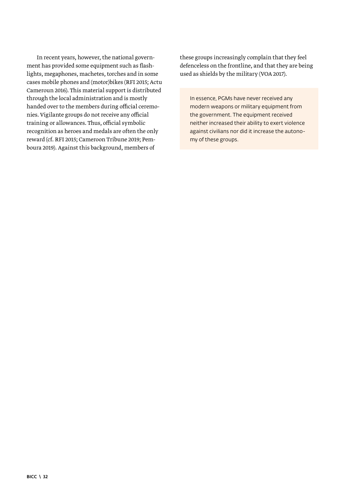In recent years, however, the national government has provided some equipment such as flashlights, megaphones, machetes, torches and in some cases mobile phones and (motor)bikes (RFI 2015; Actu Cameroun 2016). This material support is distributed through the local administration and is mostly handed over to the members during official ceremonies. Vigilante groups do not receive any official training or allowances. Thus, official symbolic recognition as heroes and medals are often the only reward (cf. RFI 2015; Cameroon Tribune 2019; Pemboura 2019). Against this background, members of

these groups increasingly complain that they feel defenceless on the frontline, and that they are being used as shields by the military (VOA 2017).

In essence, PGMs have never received any modern weapons or military equipment from the government. The equipment received neither increased their ability to exert violence against civilians nor did it increase the autonomy of these groups.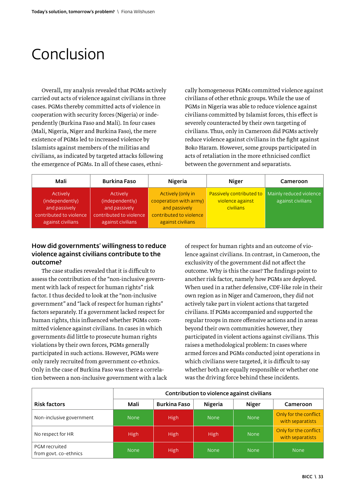## <span id="page-32-0"></span>Conclusion

Overall, my analysis revealed that PGMs actively carried out acts of violence against civilians in three cases. PGMs thereby committed acts of violence in cooperation with security forces (Nigeria) or independently (Burkina Faso and Mali). In four cases (Mali, Nigeria, Niger and Burkina Faso), the mere existence of PGMs led to increased violence by Islamists against members of the militias and civilians, as indicated by targeted attacks following the emergence of PGMs. In all of these cases, ethnically homogeneous PGMs committed violence against civilians of other ethnic groups. While the use of PGMs in Nigeria was able to reduce violence against civilians committed by Islamist forces, this effect is severely counteracted by their own targeting of civilians. Thus, only in Cameroon did PGMs actively reduce violence against civilians in the fight against Boko Haram. However, some groups participated in acts of retaliation in the more ethnicised conflict between the government and separatists.

| Mali                                     | Burkina Faso                             | Nigeria                                     | Niger                                        | Cameroon                                     |
|------------------------------------------|------------------------------------------|---------------------------------------------|----------------------------------------------|----------------------------------------------|
| Actively<br>(independently)              | Actively<br>(independently)              | Actively (only in<br>cooperation with army) | Passively contributed to<br>violence against | Mainly reduced violence<br>against civilians |
| and passively<br>contributed to violence | and passively<br>contributed to violence | and passively<br>contributed to violence    | civilians                                    |                                              |
| against civilians                        | against civilians                        | against civilians                           |                                              |                                              |

## How did governments' willingness to reduce violence against civilians contribute to the outcome?

The case studies revealed that it is difficult to assess the contribution of the "non-inclusive government with lack of respect for human rights" risk factor. I thus decided to look at the "non-inclusive government" and "lack of respect for human rights" factors separately. If a government lacked respect for human rights, this influenced whether PGMs committed violence against civilians. In cases in which governments did little to prosecute human rights violations by their own forces, PGMs generally participated in such actions. However, PGMs were only rarely recruited from government co-ethnics. Only in the case of Burkina Faso was there a correlation between a non-inclusive government with a lack of respect for human rights and an outcome of violence against civilians. In contrast, in Cameroon, the exclusivity of the government did not affect the outcome. Why is this the case? The findings point to another risk factor, namely how PGMs are deployed. When used in a rather defensive, CDF-like role in their own region as in Niger and Cameroon, they did not actively take part in violent actions that targeted civilians. If PGMs accompanied and supported the regular troops in more offensive actions and in areas beyond their own communities however, they participated in violent actions against civilians. This raises a methodological problem: In cases where armed forces and PGMs conducted joint operations in which civilians were targeted, it is difficult to say whether both are equally responsible or whether one was the driving force behind these incidents.

|                                        | Contribution to violence against civilians |                     |             |             |                                           |  |  |  |  |  |  |  |  |
|----------------------------------------|--------------------------------------------|---------------------|-------------|-------------|-------------------------------------------|--|--|--|--|--|--|--|--|
| <b>Risk factors</b>                    | Mali                                       | <b>Burkina Faso</b> | Nigeria     | Niger       | Cameroon                                  |  |  |  |  |  |  |  |  |
| Non-inclusive government               | <b>None</b>                                | High                | <b>None</b> | <b>None</b> | Only for the conflict<br>with separatists |  |  |  |  |  |  |  |  |
| No respect for HR                      | <b>High</b>                                | High                | High        | <b>None</b> | Only for the conflict<br>with separatists |  |  |  |  |  |  |  |  |
| PGM recruited<br>from govt. co-ethnics | <b>None</b>                                | High                | <b>None</b> | <b>None</b> | <b>None</b>                               |  |  |  |  |  |  |  |  |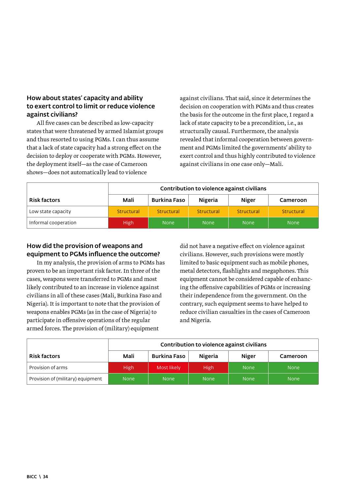## How about states' capacity and ability to exert control to limit or reduce violence against civilians?

All five cases can be described as low-capacity states that were threatened by armed Islamist groups and thus resorted to using PGMs. I can thus assume that a lack of state capacity had a strong effect on the decision to deploy or cooperate with PGMs. However, the deployment itself—as the case of Cameroon shows—does not automatically lead to violence

against civilians. That said, since it determines the decision on cooperation with PGMs and thus creates the basis for the outcome in the first place, I regard a lack of state capacity to be a precondition, i.e., as structurally causal. Furthermore, the analysis revealed that informal cooperation between government and PGMs limited the governments' ability to exert control and thus highly contributed to violence against civilians in one case only—Mali.

|                      |             | Contribution to violence against civilians |             |             |             |  |  |  |  |  |  |  |  |
|----------------------|-------------|--------------------------------------------|-------------|-------------|-------------|--|--|--|--|--|--|--|--|
| <b>Risk factors</b>  | Mali        | Burkina Faso                               | Nigeria     | Niger       | Cameroon    |  |  |  |  |  |  |  |  |
| Low state capacity   | Structural  | Structural                                 | Structural  | Structural  | Structural  |  |  |  |  |  |  |  |  |
| Informal cooperation | <b>High</b> | <b>None</b>                                | <b>None</b> | <b>None</b> | <b>None</b> |  |  |  |  |  |  |  |  |

## How did the provision of weapons and equipment to PGMs influence the outcome?

In my analysis, the provision of arms to PGMs has proven to be an important risk factor. In three of the cases, weapons were transferred to PGMs and most likely contributed to an increase in violence against civilians in all of these cases (Mali, Burkina Faso and Nigeria). It is important to note that the provision of weapons enables PGMs (as in the case of Nigeria) to participate in offensive operations of the regular armed forces. The provision of (military) equipment

did not have a negative effect on violence against civilians. However, such provisions were mostly limited to basic equipment such as mobile phones, metal detectors, flashlights and megaphones. This equipment cannot be considered capable of enhancing the offensive capabilities of PGMs or increasing their independence from the government. On the contrary, such equipment seems to have helped to reduce civilian casualties in the cases of Cameroon and Nigeria.

|                                   | Contribution to violence against civilians |              |             |             |             |  |  |  |  |  |  |  |
|-----------------------------------|--------------------------------------------|--------------|-------------|-------------|-------------|--|--|--|--|--|--|--|
| <b>Risk factors</b>               | Mali                                       | Burkina Faso | Nigeria     | Niger       | Cameroon    |  |  |  |  |  |  |  |
| Provision of arms                 | <b>High</b>                                | Most likely  | <b>High</b> | <b>None</b> | <b>None</b> |  |  |  |  |  |  |  |
| Provision of (military) equipment | <b>None</b>                                | <b>None</b>  | <b>None</b> | <b>None</b> | <b>None</b> |  |  |  |  |  |  |  |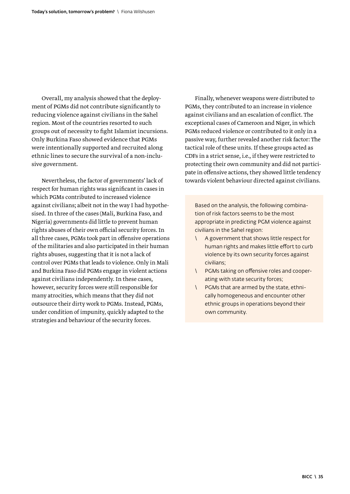Overall, my analysis showed that the deployment of PGMs did not contribute significantly to reducing violence against civilians in the Sahel region. Most of the countries resorted to such groups out of necessity to fight Islamist incursions. Only Burkina Faso showed evidence that PGMs were intentionally supported and recruited along ethnic lines to secure the survival of a non-inclusive government.

Nevertheless, the factor of governments' lack of respect for human rights was significant in cases in which PGMs contributed to increased violence against civilians; albeit not in the way I had hypothesised. In three of the cases (Mali, Burkina Faso, and Nigeria) governments did little to prevent human rights abuses of their own official security forces. In all three cases, PGMs took part in offensive operations of the militaries and also participated in their human rights abuses, suggesting that it is not a lack of control over PGMs that leads to violence. Only in Mali and Burkina Faso did PGMs engage in violent actions against civilians independently. In these cases, however, security forces were still responsible for many atrocities, which means that they did not outsource their dirty work to PGMs. Instead, PGMs, under condition of impunity, quickly adapted to the strategies and behaviour of the security forces.

Finally, whenever weapons were distributed to PGMs, they contributed to an increase in violence against civilians and an escalation of conflict. The exceptional cases of Cameroon and Niger, in which PGMs reduced violence or contributed to it only in a passive way, further revealed another risk factor: The tactical role of these units. If these groups acted as CDFs in a strict sense, i.e., if they were restricted to protecting their own community and did not participate in offensive actions, they showed little tendency towards violent behaviour directed against civilians.

Based on the analysis, the following combination of risk factors seems to be the most appropriate in predicting PGM violence against civilians in the Sahel region:

- \ A government that shows little respect for human rights and makes little effort to curb violence by its own security forces against civilians;
- \ PGMs taking on offensive roles and cooperating with state security forces;
- \ PGMs that are armed by the state, ethnically homogeneous and encounter other ethnic groups in operations beyond their own community.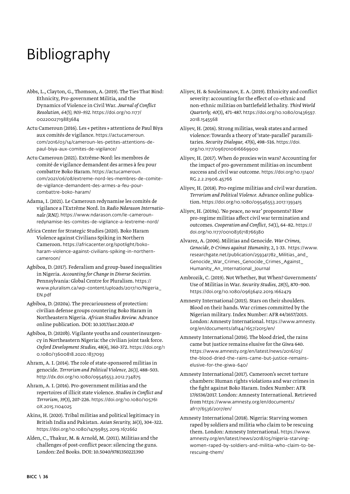# <span id="page-35-0"></span>Bibliography

- Abbs, L., Clayton, G., Thomson, A. (2019). The Ties That Bind: Ethnicity, Pro-government Militia, and the Dynamics of Violence in Civil War. *Journal of Conflict Resolution, 64(5), 903–932.* [https://doi.org/10.1177/](https://doi.org/10.1177%2F0022002719883684) [0022002719883684](https://doi.org/10.1177%2F0022002719883684)
- Actu Cameroun (2016). Les « petites » attentions de Paul Biya aux comités de vigilance. [https://actucameroun.](https://actucameroun.com/2016/03/14/cameroun-les-petites-attentions-de-paul-biya-aux-comites-de-vigilance/) [com/2016/03/14/cameroun-les-petites-attentions-de](https://actucameroun.com/2016/03/14/cameroun-les-petites-attentions-de-paul-biya-aux-comites-de-vigilance/)[paul-biya-aux-comites-de-vigilance/](https://actucameroun.com/2016/03/14/cameroun-les-petites-attentions-de-paul-biya-aux-comites-de-vigilance/)
- Actu Cameroun (2021). Extrême-Nord: les membres de comité de vigilance demandent des armes à feu pour combattre Boko Haram. [https://actucameroun.](https://actucameroun.com/2021/06/08/extreme-nord-les-membres-de-comite-de-vigilance-demandent-des-armes-a-feu-pour-combattre-boko-haram/) [com/2021/06/08/extreme-nord-les-membres-de-comite](https://actucameroun.com/2021/06/08/extreme-nord-les-membres-de-comite-de-vigilance-demandent-des-armes-a-feu-pour-combattre-boko-haram/)[de-vigilance-demandent-des-armes-a-feu-pour](https://actucameroun.com/2021/06/08/extreme-nord-les-membres-de-comite-de-vigilance-demandent-des-armes-a-feu-pour-combattre-boko-haram/)[combattre-boko-haram/](https://actucameroun.com/2021/06/08/extreme-nord-les-membres-de-comite-de-vigilance-demandent-des-armes-a-feu-pour-combattre-boko-haram/)
- Adama, I. (2021). Le Cameroun redynamise les comités de vigilance a l'Extrême Nord. In *Radio Ndarason Internationale (RNI).* [https://www.ndarason.com/le-cameroun](https://www.ndarason.com/le-cameroun-redynamise-les-comites-de-vigilance-a-lextreme-nord/)[redynamise-les-comites-de-vigilance-a-lextreme-nord/](https://www.ndarason.com/le-cameroun-redynamise-les-comites-de-vigilance-a-lextreme-nord/)
- Africa Center for Strategic Studies (2020). Boko Haram Violence against Civilians Spiking in Northern Cameroon. [https://africacenter.org/spotlight/boko](https://africacenter.org/spotlight/boko-haram-violence-against-civilians-spiking-in-northern-cameroon/)[haram-violence-against-civilians-spiking-in-northern](https://africacenter.org/spotlight/boko-haram-violence-against-civilians-spiking-in-northern-cameroon/)[cameroon/](https://africacenter.org/spotlight/boko-haram-violence-against-civilians-spiking-in-northern-cameroon/)
- Agbiboa, D. (2017). Federalism and group-based inequalities in Nigeria. *Accounting for Change in Diverse Societies.*  Pennsylvania: Global Centre for Pluralism. [https://](https://www.pluralism.ca/wp-content/uploads/2017/10/Nigeria_EN.pdf) [www.pluralism.ca/wp-content/uploads/2017/10/Nigeria\\_](https://www.pluralism.ca/wp-content/uploads/2017/10/Nigeria_EN.pdf) [EN.pdf](https://www.pluralism.ca/wp-content/uploads/2017/10/Nigeria_EN.pdf)
- Agbiboa, D. (2020a). The precariousness of protection: civilian defense groups countering Boko Haram in Northeastern Nigeria. *African Studies Review.* Advance online publication. DOI: 10.1017/asr.2020.47
- Agbiboa, D. (2020b). Vigilante youths and counterinsurgency in Northeastern Nigeria: the civilian joint task force. *Oxford Development Studies,* 48(4), 360-372. [https://doi.org/1](https://doi.org/10.1080/13600818.2020.1837093) [0.1080/13600818.2020.1837093](https://doi.org/10.1080/13600818.2020.1837093)
- Ahram, A. I. (2014). The role of state-sponsored militias in genocide. *Terrorism and Political Violence, 26(3),* 488–503. <http://dx.doi.org/10.1080/09546553.2012.734875>
- Ahram, A. I. (2016). Pro-government militias and the repertoires of illicit state violence. *Studies in Conflict and Terrorism, 39*(3), 207–226. [https://doi.org/10.1080/105761](https://doi.org/10.1080/1057610X.2015.1104025) [0X.2015.1104025](https://doi.org/10.1080/1057610X.2015.1104025)
- Akins, H. (2020). Tribal militias and political legitimacy in British India and Pakistan. *Asian Security, 16*(3), 304–322. <https://doi.org/10.1080/14799855.2019.1672662>
- Alden, C., Thakur, M. & Arnold, M. (2011). Militias and the challenges of post-conflict peace: silencing the guns. London: Zed Books. DOI: 10.5040/9781350221390
- Aliyev, H. & Souleimanov, E. A. (2019). Ethnicity and conflict severity: accounting for the effect of co-ethnic and non-ethnic militias on battlefield lethality. *Third World Quarterly, 40*(3), 471-487. [https://doi.org/10.1080/01436597.](https://doi.org/10.1080/01436597.2018.1545568) [2018.1545568](https://doi.org/10.1080/01436597.2018.1545568)
- Aliyev, H. (2016). Strong militias, weak states and armed violence: Towards a theory of 'state-parallel' paramilitaries. *Security Dialogue, 47*(6), 498–516. [https://doi.](https://doi.org/10.1177/0967010616669900) [org/10.1177/0967010616669900](https://doi.org/10.1177/0967010616669900)
- Aliyev, H. (2017). When do proxies win wars? Accounting for the impact of pro-government militias on incumbent success and civil war outcome. [https://doi.org/10.13140/](https://doi.org/10.13140/RG.2.2.21906.45766) [RG.2.2.21906.45766](https://doi.org/10.13140/RG.2.2.21906.45766)
- Aliyev, H. (2018). Pro-regime militias and civil war duration. *Terrorism and Political Violence.* Advance online publication. <https://doi.org/10.1080/09546553.2017.1393415>
- Aliyev, H. (2019a). 'No peace, no war' proponents? How pro-regime militias affect civil war termination and outcomes. *Cooperation and Conflict, 54*(1), 64–82. [https://](https://doi.org/10.1177/0010836718766380) [doi.org/10.1177/0010836718766380](https://doi.org/10.1177/0010836718766380)
- Alvarez, A. (2006). Militias and Genocide. *War Crimes, Genocide, & Crimes against Humanity,* 2, 1-33. [https://www.](https://www.researchgate.net/publication/259341782_Militias_and_Genocide_War_Crimes_Genocide_Crimes_Against_Humanity_An_International_Journal) [researchgate.net/publication/259341782\\_Militias\\_and\\_](https://www.researchgate.net/publication/259341782_Militias_and_Genocide_War_Crimes_Genocide_Crimes_Against_Humanity_An_International_Journal) Genocide War Crimes Genocide Crimes Against [Humanity\\_An\\_International\\_Journal](https://www.researchgate.net/publication/259341782_Militias_and_Genocide_War_Crimes_Genocide_Crimes_Against_Humanity_An_International_Journal)
- Ambrozik, C. (2019). Not Whether, But When? Governments' Use of Militias in War. *Security Studies, 28*(5), 870–900. <https://doi.org/10.1080/09636412.2019.1662479>
- Amnesty International (2015). Stars on their shoulders. Blood on their hands. War crimes committed by the Nigerian military. Index Number: AFR 44/1657/2015. London: Amnesty International. [https://www.amnesty.](https://www.amnesty.org/en/documents/afr44/1657/2015/en/) [org/en/documents/afr44/1657/2015/en/](https://www.amnesty.org/en/documents/afr44/1657/2015/en/)
- Amnesty International (2016). The blood dried, the rains came but justice remains elusive for the Giwa 640. [https://www.amnesty.org/en/latest/news/2016/03/](https://www.amnesty.org/en/latest/news/2016/03/the-blood-dried-the-rains-came-but-justice-remains-elusive-for-the-giwa-640/) [the-blood-dried-the-rains-came-but-justice-remains](https://www.amnesty.org/en/latest/news/2016/03/the-blood-dried-the-rains-came-but-justice-remains-elusive-for-the-giwa-640/)[elusive-for-the-giwa-640/](https://www.amnesty.org/en/latest/news/2016/03/the-blood-dried-the-rains-came-but-justice-remains-elusive-for-the-giwa-640/)
- Amnesty International (2017). Cameroon's secret torture chambers: Human rights violations and war crimes in the fight against Boko Haram. Index Number: AFR 17/6536/2017. London: Amnesty International. Retrieved from [https://www.amnesty.org/en/documents/](https://www.amnesty.org/en/documents/afr17/6536/2017/en/) [afr17/6536/2017/en/](https://www.amnesty.org/en/documents/afr17/6536/2017/en/)
- Amnesty International (2018). Nigeria: Starving women raped by soldiers and militia who claim to be rescuing them. London: Amnesty International. [https://www.](https://www.amnesty.org/en/latest/news/2018/05/nigeria-starving-women-raped-by-soldiers-and-militia-who-claim-to-be-rescuing-them/) [amnesty.org/en/latest/news/2018/05/nigeria-starving](https://www.amnesty.org/en/latest/news/2018/05/nigeria-starving-women-raped-by-soldiers-and-militia-who-claim-to-be-rescuing-them/)[women-raped-by-soldiers-and-militia-who-claim-to-be](https://www.amnesty.org/en/latest/news/2018/05/nigeria-starving-women-raped-by-soldiers-and-militia-who-claim-to-be-rescuing-them/)[rescuing-them/](https://www.amnesty.org/en/latest/news/2018/05/nigeria-starving-women-raped-by-soldiers-and-militia-who-claim-to-be-rescuing-them/)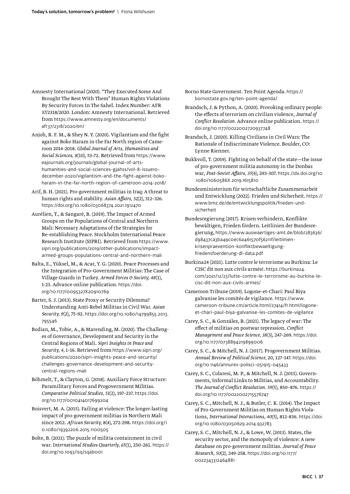- Amnesty International (2020). "They Executed Some And Brought The Rest With Them" Human Rights Violations By Security Forces In The Sahel. Index Number: AFR 37/2318/2020. London: Amnesty International. Retrieved from [https://www.amnesty.org/en/documents/](https://www.amnesty.org/en/documents/afr37/2318/2020/en/) [afr37/2318/2020/en/](https://www.amnesty.org/en/documents/afr37/2318/2020/en/)
- Anjoh, R. F. M., & Shey N. Y. (2020). Vigilantism and the fight against Boko Haram in the Far North region of Cameroon 2014-2018. *Global Journal of Arts, Humanities and Social Sciences, 8*(10), 53-72. Retrieved from [https://www.](https://www.eajournals.org/journals/global-journal-of-arts-humanities-and-social-sciences-gjahss/vol-8-issue10-december-2020/vigilantism-and-the-fight-against-boko-haram-in-the-far-north-region-of-cameroon-2014-2018/) [eajournals.org/journals/global-journal-of-arts](https://www.eajournals.org/journals/global-journal-of-arts-humanities-and-social-sciences-gjahss/vol-8-issue10-december-2020/vigilantism-and-the-fight-against-boko-haram-in-the-far-north-region-of-cameroon-2014-2018/)[humanities-and-social-sciences-gjahss/vol-8-issue10](https://www.eajournals.org/journals/global-journal-of-arts-humanities-and-social-sciences-gjahss/vol-8-issue10-december-2020/vigilantism-and-the-fight-against-boko-haram-in-the-far-north-region-of-cameroon-2014-2018/) [december-2020/vigilantism-and-the-fight-against-boko](https://www.eajournals.org/journals/global-journal-of-arts-humanities-and-social-sciences-gjahss/vol-8-issue10-december-2020/vigilantism-and-the-fight-against-boko-haram-in-the-far-north-region-of-cameroon-2014-2018/)[haram-in-the-far-north-region-of-cameroon-2014-2018/](https://www.eajournals.org/journals/global-journal-of-arts-humanities-and-social-sciences-gjahss/vol-8-issue10-december-2020/vigilantism-and-the-fight-against-boko-haram-in-the-far-north-region-of-cameroon-2014-2018/)
- Arif, B. H. (2021). Pro-government militias in Iraq: A threat to human rights and stability. *Asian Affairs, 52*(2), 312–326. <https://doi.org/10.1080/03068374.2021.1912470>
- Aurélien, T., & Sangaré, B. (2019). The Impact of Armed Groups on the Populations of Central and Northern Mali: Necessary Adaptations of the Strategies for Re-establishing Peace. Stockholm International Peace Research Institute (SIPRI). Retrieved from [https://www.](https://www.sipri.org/publications/2019/other-publications/impact-armed-groups-populations-central-and-northern-mali) [sipri.org/publications/2019/other-publications/impact](https://www.sipri.org/publications/2019/other-publications/impact-armed-groups-populations-central-and-northern-mali)[armed-groups-populations-central-and-northern-mali](https://www.sipri.org/publications/2019/other-publications/impact-armed-groups-populations-central-and-northern-mali)
- Balta, E., Yüksel, M., & Acar, Y. G. (2020). Peace Processes and the Integration of Pro-Government Militias: The Case of Village Guards in Turkey. *Armed Forces & Society, 48*(1), 1-23. Advance online publication. [https://doi.](https://doi.org/10.1177/0095327X20910769) [org/10.1177/0095327X20910769](https://doi.org/10.1177/0095327X20910769)
- Barter, S. J. (2013). State Proxy or Security Dilemma? Understanding Anti-Rebel Militias in Civil War. *Asian Security, 9*(2), 75-92. [https://doi.org/10.1080/14799855.2013.](https://doi.org/10.1080/14799855.2013.795546) [795546](https://doi.org/10.1080/14799855.2013.795546)
- Bodian, M., Tobie, A., & Marending, M. (2020). The Challenges of Governance, Development and Security in the Central Regions of Mali. *Sipri Insights in Peace and Security, 4,* 1–16. Retrieved from [https://www.sipri.org/](https://www.sipri.org/publications/2020/sipri-insights-peace-and-security/challenges-governance-development-and-security-central-regions-mali) [publications/2020/sipri-insights-peace-and-security/](https://www.sipri.org/publications/2020/sipri-insights-peace-and-security/challenges-governance-development-and-security-central-regions-mali) [challenges-governance-development-and-security](https://www.sipri.org/publications/2020/sipri-insights-peace-and-security/challenges-governance-development-and-security-central-regions-mali)[central-regions-mali](https://www.sipri.org/publications/2020/sipri-insights-peace-and-security/challenges-governance-development-and-security-central-regions-mali)
- Böhmelt, T., & Clayton, G. (2018). Auxiliary Force Structure: Paramilitary Forces and Progovernment Militias. *Comparative Political Studies, 51*(2), 197–237. [https://doi.](https://doi.org/10.1177/0010414017699204) [org/10.1177/0010414017699204](https://doi.org/10.1177/0010414017699204)
- Boisvert, M. A. (2015). Failing at violence: The longer-lasting impact of pro-government militias in Northern Mali since 2012. *African Security,* 8(4), 272-298. [https://doi.org/1](https://doi.org/10.1080/19392206.2015.1100505) [0.1080/19392206.2015.1100505](https://doi.org/10.1080/19392206.2015.1100505)
- Bolte, B. (2021). The puzzle of militia containment in civil war. I*nternational Studies Quarterly, 65*(1), 250–261. [https://](https://doi.org/10.1093/isq/sqab001) [doi.org/10.1093/isq/sqab001](https://doi.org/10.1093/isq/sqab001)

Borno State Government. Ten Point Agenda. [https://](https://bornostate.gov.ng/ten-point-agenda/) [bornostate.gov.ng/ten-point-agenda/](https://bornostate.gov.ng/ten-point-agenda/)

- Brandsch, J. & Python, A. (2020). Provoking ordinary people: the effects of terrorism on civilian violence, *Journal of Conflict Resolution.* Advance online publication. [https://](https://doi.org/10.1177/0022002720937748) [doi.org/10.1177/0022002720937748](https://doi.org/10.1177/0022002720937748)
- Brandsch, J. (2020). Killing Civilians in Civil Wars: The Rationale of Indiscriminate Violence. Boulder, CO: Lynne Rienner.
- Bukkvoll, T. (2019). Fighting on behalf of the state—the issue of pro-government militia autonomy in the Donbas war, *Post-Soviet Affairs, 35*(4), 293-307. [https://dx.doi.org/10](https://dx.doi.org/10.1080/1060586X.2019.1615810) [.1080/1060586X.2019.1615810](https://dx.doi.org/10.1080/1060586X.2019.1615810)
- Bundesministerium für wirtschaftliche Zusammenarbeit und Entwicklung (2022). Frieden und Sicherheit. [https://](https://www.bmz.de/de/entwicklungspolitik/frieden-und-sicherheit) [www.bmz.de/de/entwicklungspolitik/frieden-und](https://www.bmz.de/de/entwicklungspolitik/frieden-und-sicherheit)[sicherheit](https://www.bmz.de/de/entwicklungspolitik/frieden-und-sicherheit)
- Bundesregierung (2017). Krisen verhindern, Konflikte bewältigen, Frieden fördern. Leitlinien der Bundesregierung, [https://www.auswaertiges-amt.de/blob/283636/](https://www.auswaertiges-amt.de/blob/283636/d98437ca3ba49c0ec6a461570f56211f/leitlinien-krisenpraevention-konfliktbewaeltigung-friedensfoerderung-dl-data.pdf) [d98437ca3ba49c0ec6a461570f56211f/leitlinien](https://www.auswaertiges-amt.de/blob/283636/d98437ca3ba49c0ec6a461570f56211f/leitlinien-krisenpraevention-konfliktbewaeltigung-friedensfoerderung-dl-data.pdf)[krisenpraevention-konfliktbewaeltigung](https://www.auswaertiges-amt.de/blob/283636/d98437ca3ba49c0ec6a461570f56211f/leitlinien-krisenpraevention-konfliktbewaeltigung-friedensfoerderung-dl-data.pdf)[friedensfoerderung-dl-data.pdf](https://www.auswaertiges-amt.de/blob/283636/d98437ca3ba49c0ec6a461570f56211f/leitlinien-krisenpraevention-konfliktbewaeltigung-friedensfoerderung-dl-data.pdf)
- Burkina24 (2021). Lutte contre le terrorisme au Burkina: Le CISC dit non aux civils armés!. https://burkina24. com/2021/12/23/lutte-contre-le-terrorisme-au-burkina-lecisc-dit-non-aux-civils-armes/
- Cameroon Tribune (2019). Logone-et-Chari: Paul Biya galvanise les comités de vigilance. [https://www.](https://www.cameroon-tribune.cm/article.html/27414/fr.html/logone-et-chari-paul-biya-galvanise-les-comites-de-vigilance) [cameroon-tribune.cm/article.html/27414/fr.html/logone](https://www.cameroon-tribune.cm/article.html/27414/fr.html/logone-et-chari-paul-biya-galvanise-les-comites-de-vigilance)[et-chari-paul-biya-galvanise-les-comites-de-vigilance](https://www.cameroon-tribune.cm/article.html/27414/fr.html/logone-et-chari-paul-biya-galvanise-les-comites-de-vigilance)
- Carey, S. C., & González, B. (2021). The legacy of war: The effect of militias on postwar repression. *Conflict Management and Peace Science, 38*(3), 247–269. [https://doi.](https://doi.org/10.1177/0738894219899006) [org/10.1177/0738894219899006](https://doi.org/10.1177/0738894219899006)
- Carey, S. C., & Mitchell, N. J. (2017). Progovernment Militias. *Annual Review of Political Science,* 20, 127–147. [https://doi.](https://doi.org/10.1146/annurev-polisci-051915-045433) [org/10.1146/annurev-polisci-051915-045433](https://doi.org/10.1146/annurev-polisci-051915-045433)
- Carey, S. C., Colaresi, M. P., & Mitchell, N. J. (2015). Governments, Informal Links to Militias, and Accountability. *The Journal of Conflict Resolution. 59*(5), 850–876. [https://](https://doi.org/10.1177%2F0022002715576747) [doi.org/10.1177/0022002715576747](https://doi.org/10.1177%2F0022002715576747)
- Carey, S. C., Mitchell, N. J., & Butler, C. K. (2014). The Impact of Pro-Government Militias on Human Rights Violations, *International Interactions, 40*(5), 812-836. [https://doi.](https://doi.org/10.1080/03050629.2014.932783) [org/10.1080/03050629.2014.932783](https://doi.org/10.1080/03050629.2014.932783)
- Carey, S. C., Mitchell, N. J., & Lowe, W. (2013). States, the security sector, and the monopoly of violence: A new database on pro-government militias. *Journal of Peace Research, 50*(2)*,* 249-258. [https://doi.org/10.1177/](https://doi.org/10.1177/0022343312464881) [0022343312464881](https://doi.org/10.1177/0022343312464881)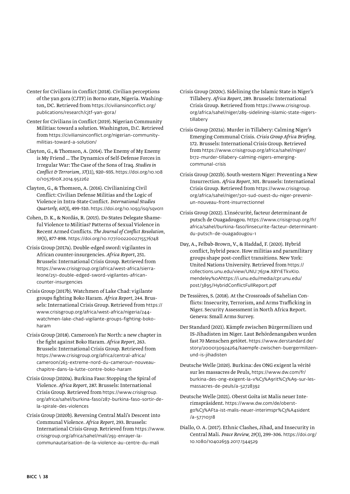- Center for Civilians in Conflict (2018). Civilian perceptions of the yan gora (CJTF) in Borno state, Nigeria. Washington, DC. Retrieved from [https://civiliansinconflict.org/](https://civiliansinconflict.org/publications/research/cjtf-yan-gora/) [publications/research/cjtf-yan-gora/](https://civiliansinconflict.org/publications/research/cjtf-yan-gora/)
- Center for Civilians in Conflict (2019). Nigerian Community Militias: toward a solution. Washington, D.C. Retrieved from [https://civiliansinconflict.org/nigerian-community](file:///Volumes/Luise/BICC_2022/2204_NEXUS_papier/nflict.org/nigerian-community-militias-toward-a-solution/)[militias-toward-a-solution/](file:///Volumes/Luise/BICC_2022/2204_NEXUS_papier/nflict.org/nigerian-community-militias-toward-a-solution/)
- Clayton, G., & Thomson, A. (2014). The Enemy of My Enemy is My Friend … The Dynamics of Self-Defense Forces in Irregular War: The Case of the Sons of Iraq. *Studies in Conflict & Terrorism, 37*(11), 920–935. [https://doi.org/10.108](https://doi.org/10.1080/1057610X.2014.952262) [0/1057610X.2014.952262](https://doi.org/10.1080/1057610X.2014.952262)
- Clayton, G., & Thomson, A. (2016). Civilianizing Civil Conflict: Civilian Defense Militias and the Logic of Violence in Intra-State Conflict. *International Studies Quarterly, 60*(3), 499-510. <https://doi.org/10.1093/isq/sqv011>
- Cohen, D. K., & Nordås, R. (2015). Do States Delegate Shameful Violence to Militias? Patterns of Sexual Violence in Recent Armed Conflicts. *The Journal of Conflict Resolution, 59*(5), 877-898. <https://doi.org/10.1177/0022002715576748>
- Crisis Group (2017a). Double-edged sword: vigilantes in African counter-insurgencies. *Africa Report*, 251. Brussels: International Crisis Group. Retrieved from [https://www.crisisgroup.org/africa/west-africa/sierra](https://www.crisisgroup.org/africa/west-africa/sierra-leone/251-double-edged-sword-vigilantes-african-counter-insurgencies)[leone/251-double-edged-sword-vigilantes-african](https://www.crisisgroup.org/africa/west-africa/sierra-leone/251-double-edged-sword-vigilantes-african-counter-insurgencies)[counter-insurgencies](https://www.crisisgroup.org/africa/west-africa/sierra-leone/251-double-edged-sword-vigilantes-african-counter-insurgencies)
- Crisis Group (2017b). Watchmen of Lake Chad: vigilante groups fighting Boko Haram. *Africa Report,* 244. Brussels: International Crisis Group. Retrieved from [https://](https://www.crisisgroup.org/africa/west-africa/nigeria/244-watchmen-lake-chad-vigilante-groups-fighting-boko-haram) [www.crisisgroup.org/africa/west-africa/nigeria/244](https://www.crisisgroup.org/africa/west-africa/nigeria/244-watchmen-lake-chad-vigilante-groups-fighting-boko-haram) [watchmen-lake-chad-vigilante-groups-fighting-boko](https://www.crisisgroup.org/africa/west-africa/nigeria/244-watchmen-lake-chad-vigilante-groups-fighting-boko-haram)[haram](https://www.crisisgroup.org/africa/west-africa/nigeria/244-watchmen-lake-chad-vigilante-groups-fighting-boko-haram)
- Crisis Group (2018). Cameroon's Far North: a new chapter in the fight against Boko Haram. *Africa Report,* 263. Brussels: International Crisis Group. Retrieved from [https://www.crisisgroup.org/africa/central-africa/](https://www.crisisgroup.org/africa/central-africa/cameroon/263-extreme-nord-du-cameroun-nouveau-chapitre-dans-la-lutte-contre-boko-haram) [cameroon/263-extreme-nord-du-cameroun-nouveau](https://www.crisisgroup.org/africa/central-africa/cameroon/263-extreme-nord-du-cameroun-nouveau-chapitre-dans-la-lutte-contre-boko-haram)[chapitre-dans-la-lutte-contre-boko-haram](https://www.crisisgroup.org/africa/central-africa/cameroon/263-extreme-nord-du-cameroun-nouveau-chapitre-dans-la-lutte-contre-boko-haram)
- Crisis Group (2020a). Burkina Faso: Stopping the Spiral of Violence. *Africa Report,* 287. Brussels: International Crisis Group. Retrieved from [https://www.crisisgroup.](https://www.crisisgroup.org/africa/sahel/burkina-faso/287-burkina-faso-sortir-de-la-spirale-des-violences) [org/africa/sahel/burkina-faso/287-burkina-faso-sortir-de](https://www.crisisgroup.org/africa/sahel/burkina-faso/287-burkina-faso-sortir-de-la-spirale-des-violences)[la-spirale-des-violences](https://www.crisisgroup.org/africa/sahel/burkina-faso/287-burkina-faso-sortir-de-la-spirale-des-violences)
- Crisis Group (2020b). Reversing Central Mali's Descent into Communal Violence. *Africa Report,* 293. Brussels: International Crisis Group. Retrieved from [https://www.](https://www.crisisgroup.org/africa/sahel/mali/293-enrayer-la-communautarisation-de-la-violence-au-centre-du-mali) [crisisgroup.org/africa/sahel/mali/293-enrayer-la](https://www.crisisgroup.org/africa/sahel/mali/293-enrayer-la-communautarisation-de-la-violence-au-centre-du-mali)[communautarisation-de-la-violence-au-centre-du-mali](https://www.crisisgroup.org/africa/sahel/mali/293-enrayer-la-communautarisation-de-la-violence-au-centre-du-mali)
- Crisis Group (2020c). Sidelining the Islamic State in Niger's Tillabery. *Africa Report,* 289. Brussels: International Crisis Group. Retrieved from [https://www.crisisgroup.](https://www.crisisgroup.org/africa/sahel/niger/289-sidelining-islamic-state-nigers-tillabery) [org/africa/sahel/niger/289-sidelining-islamic-state-nigers](https://www.crisisgroup.org/africa/sahel/niger/289-sidelining-islamic-state-nigers-tillabery)[tillabery](https://www.crisisgroup.org/africa/sahel/niger/289-sidelining-islamic-state-nigers-tillabery)
- Crisis Group (2021a). Murder in Tillabery: Calming Niger's Emerging Communal Crisis. *Crisis Group Africa Briefing,*  172. Brussels: International Crisis Group. Retrieved from [https://www.crisisgroup.org/africa/sahel/niger/](https://www.crisisgroup.org/africa/sahel/niger/b172-murder-tillabery-calming-nigers-emerging-communal-crisis) [b172-murder-tillabery-calming-nigers-emerging](https://www.crisisgroup.org/africa/sahel/niger/b172-murder-tillabery-calming-nigers-emerging-communal-crisis)[communal-crisis](https://www.crisisgroup.org/africa/sahel/niger/b172-murder-tillabery-calming-nigers-emerging-communal-crisis)
- Crisis Group (2021b). South-western Niger: Preventing a New Insurrection. *Africa Report,* 301. Brussels: International Crisis Group. Retrieved from [https://www.crisisgroup.](https://www.crisisgroup.org/africa/sahel/niger/301-sud-ouest-du-niger-prevenir-un-nouveau-front-insurrectionnel) [org/africa/sahel/niger/301-sud-ouest-du-niger-prevenir](https://www.crisisgroup.org/africa/sahel/niger/301-sud-ouest-du-niger-prevenir-un-nouveau-front-insurrectionnel)[un-nouveau-front-insurrectionnel](https://www.crisisgroup.org/africa/sahel/niger/301-sud-ouest-du-niger-prevenir-un-nouveau-front-insurrectionnel)
- Crisis Group (2022). L'insécurité, facteur determinant de putsch de Ouagadougou. [https://www.crisisgroup.org/fr/](https://www.crisisgroup.org/fr/africa/sahel/burkina-faso/linsecurite-facteur-determinant-du-putsch-de-ouagadougou-1) [africa/sahel/burkina-faso/linsecurite-facteur-determinant](https://www.crisisgroup.org/fr/africa/sahel/burkina-faso/linsecurite-facteur-determinant-du-putsch-de-ouagadougou-1)[du-putsch-de-ouagadougou-1](https://www.crisisgroup.org/fr/africa/sahel/burkina-faso/linsecurite-facteur-determinant-du-putsch-de-ouagadougou-1)
- Day, A., Felbab-Brown, V., & Haddad, F. (2020). Hybrid conflict, hybrid peace. How militias and paramilitary groups shape post-conflict transitions. New York: United Nations University. Retrieved from [https://](https://collections.unu.edu/view/UNU:7631#.X8Y1ETkvKI0.mendeley%0Ahttps://i.unu.edu/media/cpr.unu.edu/post/3895/HybridConflictFullReport.pdf) [collections.unu.edu/view/UNU:7631#.X8Y1ETkvKI0.](https://collections.unu.edu/view/UNU:7631#.X8Y1ETkvKI0.mendeley%0Ahttps://i.unu.edu/media/cpr.unu.edu/post/3895/HybridConflictFullReport.pdf) [mendeley%0Ahttps://i.unu.edu/media/cpr.unu.edu/](https://collections.unu.edu/view/UNU:7631#.X8Y1ETkvKI0.mendeley%0Ahttps://i.unu.edu/media/cpr.unu.edu/post/3895/HybridConflictFullReport.pdf) [post/3895/HybridConflictFullReport.pdf](https://collections.unu.edu/view/UNU:7631#.X8Y1ETkvKI0.mendeley%0Ahttps://i.unu.edu/media/cpr.unu.edu/post/3895/HybridConflictFullReport.pdf)
- De Tessières, S. (2018). At the Crossroads of Sahelian Conflicts: Insecurity, Terrorism, and Arms Trafficking in Niger. Security Assessment in North Africa Report. Geneva: Small Arms Survey.
- Der Standard (2021). Kämpfe zwischen Bürgermilizen und IS-Jihadisten im Niger. Laut Behördenangaben wurden fast 70 Menschen getötet. [https://www.derstandard.de/](https://www.derstandard.de/story/2000130924264/kaempfe-zwischen-buergermilizen-und-is-jihadisten) [story/2000130924264/kaempfe-zwischen-buergermilizen](https://www.derstandard.de/story/2000130924264/kaempfe-zwischen-buergermilizen-und-is-jihadisten)[und-is-jihadisten](https://www.derstandard.de/story/2000130924264/kaempfe-zwischen-buergermilizen-und-is-jihadisten)
- Deutsche Welle (2020). Burkina: des ONG exigent la vérité sur les massacres de Peuls, https://www.dw.com/fr/ burkina-des-ong-exigent-la-v%C3%A9rit%C3%A9-sur-lesmassacres-de-peuls/a-52728392
- Deutsche Welle (2021). Oberst Goïta ist Malis neuer Interimspräsident. [https://www.dw.com/de/oberst](https://www.dw.com/de/oberst-go%C3%AFta-ist-malis-neuer-interimspr%C3%A4sident/a-57710318)[go%C3%AFta-ist-malis-neuer-interimspr%C3%A4sident](https://www.dw.com/de/oberst-go%C3%AFta-ist-malis-neuer-interimspr%C3%A4sident/a-57710318) [/a-57710318](https://www.dw.com/de/oberst-go%C3%AFta-ist-malis-neuer-interimspr%C3%A4sident/a-57710318)
- Diallo, O. A. (2017). Ethnic Clashes, Jihad, and Insecurity in Central Mali. *Peace Review, 29*(3), 299–306. [https://doi.org/](https://doi.org/10.1080/10402659.2017.1344529) [10.1080/10402659.2017.1344529](https://doi.org/10.1080/10402659.2017.1344529)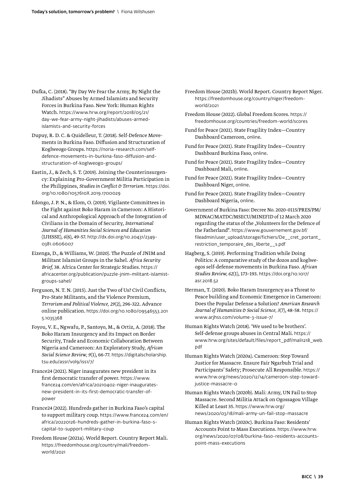- Dufka, C. (2018). "By Day We Fear the Army, By Night the Jihadists" Abuses by Armed Islamists and Security Forces in Burkina Faso. New York: Human Rights Watch. [https://www.hrw.org/report/2018/05/21/](https://www.hrw.org/report/2018/05/21/day-we-fear-army-night-jihadists/abuses-armed-islamists-and-security-forces) [day-we-fear-army-night-jihadists/abuses-armed](https://www.hrw.org/report/2018/05/21/day-we-fear-army-night-jihadists/abuses-armed-islamists-and-security-forces)[islamists-and-security-forces](https://www.hrw.org/report/2018/05/21/day-we-fear-army-night-jihadists/abuses-armed-islamists-and-security-forces)
- Dupuy, R. D. C. & Quidelleur, T. (2018). Self-Defence Movements in Burkina Faso. Diffusion and Structuration of Koglweogo Groups. [https://noria-research.com/self](https://noria-research.com/self-defence-movements-in-burkina-faso-diffusion-and-structuration-of-koglweogo-groups/)[defence-movements-in-burkina-faso-diffusion-and](https://noria-research.com/self-defence-movements-in-burkina-faso-diffusion-and-structuration-of-koglweogo-groups/)[structuration-of-koglweogo-groups/](https://noria-research.com/self-defence-movements-in-burkina-faso-diffusion-and-structuration-of-koglweogo-groups/)
- Eastin, J., & Zech, S. T. (2019). Joining the Counterinsurgency: Explaining Pro-Government Militia Participation in the Philippines, *Studies in Conflict & Terrorism.* [https://doi.](https://doi.org/10.1080/1057610X.2019.1700029) [org/10.1080/1057610X.2019.1700029](https://doi.org/10.1080/1057610X.2019.1700029)
- Edongo, J. P. N., & Elom, O. (2019). Vigilante Committees in the Fight against Boko Haram in Cameroon: A Historical and Anthropological Approach of the Integration of Civilians in the Domain of Security, *International Journal of Humanities Social Sciences and Education*  (IJHSSE), *6*(6), 49-57. [http://dx.doi.org/10.20431/2349-](https://dx.doi.org/10.20431/2349-0381.0606007) [0381.0606007](https://dx.doi.org/10.20431/2349-0381.0606007)
- Eizenga, D., & Williams, W. (2020). The Puzzle of JNIM and Militant Islamist Groups in the Sahel. *Africa Security Brief,* 38. Africa Center for Strategic Studies. [https://](https://africacenter.org/publication/puzzle-jnim-militant-islamist-groups-sahel/) [africacenter.org/publication/puzzle-jnim-militant-islamist](https://africacenter.org/publication/puzzle-jnim-militant-islamist-groups-sahel/)[groups-sahel/](https://africacenter.org/publication/puzzle-jnim-militant-islamist-groups-sahel/)
- Ferguson, N. T. N. (2015). Just the Two of Us? Civil Conflicts, Pro-State Militants, and the Violence Premium, *Terrorism and Political Violence, 29*(2), 296-322. Advance online publication. [https://doi.org/10.1080/09546553.201](https://doi.org/10.1080/09546553.2015.1035368) [5.1035368](https://doi.org/10.1080/09546553.2015.1035368)
- Foyou, V. E., Ngwafu, P., Santoyo, M., & Ortiz, A. (2018). The Boko Haram Insurgency and its Impact on Border Security, Trade and Economic Collaboration Between Nigeria and Cameroon: An Exploratory Study, *African Social Science Review, 9*(1), 66-77. [https://digitalscholarship.](https://digitalscholarship.tsu.edu/assr/vol9/iss1/7/) [tsu.edu/assr/vol9/iss1/7/](https://digitalscholarship.tsu.edu/assr/vol9/iss1/7/)
- France24 (2021). Niger inaugurates new president in its first democratic transfer of power. https://www. france24.com/en/africa/20210402-niger-inauguratesnew-president-in-its-first-democratic-transfer-ofpower
- France24 (2022). Hundreds gather in Burkina Faso's capital to support military coup. [https://www.france24.com/en/](https://www.france24.com/en/africa/20220126-hundreds-gather-in-burkina-faso-s-capital-to-support-military-coup) [africa/20220126-hundreds-gather-in-burkina-faso-s](https://www.france24.com/en/africa/20220126-hundreds-gather-in-burkina-faso-s-capital-to-support-military-coup)[capital-to-support-military-coup](https://www.france24.com/en/africa/20220126-hundreds-gather-in-burkina-faso-s-capital-to-support-military-coup)
- Freedom House (2021a). World Report. Country Report Mali. [https://freedomhouse.org/country/mali/freedom](https://freedomhouse.org/country/mali/freedom-world/2021)[world/2021](https://freedomhouse.org/country/mali/freedom-world/2021)
- Freedom House (2021b). World Report. Country Report Niger. [https://freedomhouse.org/country/niger/freedom](https://freedomhouse.org/country/niger/freedom-world/2021)[world/2021](https://freedomhouse.org/country/niger/freedom-world/2021)
- Freedom House (2022). Global Freedom Scores. [https://](https://freedomhouse.org/countries/freedom-world/scores) [freedomhouse.org/countries/freedom-world/scores](https://freedomhouse.org/countries/freedom-world/scores)
- Fund for Peace (2021). State Fragility Index—Country Dashboard Cameroon, [online](https://fragilestatesindex.org/country-data/).
- Fund for Peace (2021). State Fragility Index—Country Dashboard Burkina Faso, [online](https://fragilestatesindex.org/country-data/).
- Fund for Peace (2021). State Fragility Index—Country Dashboard Mali, [online](https://fragilestatesindex.org/country-data/).
- Fund for Peace (2021). State Fragility Index—Country Dashboard Niger, [online](https://fragilestatesindex.org/country-data/).
- Fund for Peace (2021). State Fragility Index—Country Dashboard Nigeria, [online](https://fragilestatesindex.org/country-data/).
- Government of Burkina Faso: Decree No. 2020-0115/PRES/PM/ MDNAC/MATDC/MSECU/MINEFID of 12 March 2020 regarding the status of the "Volunteers for the Defence of the Fatherland". [https://www.gouvernement.gov.bf/](https://www.gouvernement.gov.bf/fileadmin/user_upload/storage/fichiers/De__cret_portant_restriction_temporaire_des_liberte__s.pdf) [fileadmin/user\\_upload/storage/fichiers/De\\_\\_cret\\_portant\\_](https://www.gouvernement.gov.bf/fileadmin/user_upload/storage/fichiers/De__cret_portant_restriction_temporaire_des_liberte__s.pdf) [restriction\\_temporaire\\_des\\_liberte\\_\\_s.pdf](https://www.gouvernement.gov.bf/fileadmin/user_upload/storage/fichiers/De__cret_portant_restriction_temporaire_des_liberte__s.pdf)
- Hagberg, S. (2019). Performing Tradition while Doing Politics: A comparative study of the dozos and koglweogos self-defense movements in Burkina Faso. *African Studies Review, 62*(1), 173–193. [https://doi.org/10.1017/](https://doi.org/10.1017/asr.2018.52) [asr.2018.52](https://doi.org/10.1017/asr.2018.52)
- Herman, T. (2020). Boko Haram Insurgency as a Threat to Peace building and Economic Emergence in Cameroon: Does the Popular Defense a Solution? *American Research Journal of Humanities & Social Science, 3*(7), 48-58. [https://](https://www.arjhss.com/volume-3-issue-7/) [www.arjhss.com/volume-3-issue-7/](https://www.arjhss.com/volume-3-issue-7/)
- Human Rights Watch (2018). 'We used to be brothers'. Self-defense groups abuses in Central Mali. [https://](https://www.hrw.org/sites/default/files/report_pdf/mali1218_web.pdf) [www.hrw.org/sites/default/files/report\\_pdf/mali1218\\_web.](https://www.hrw.org/sites/default/files/report_pdf/mali1218_web.pdf) [pdf](https://www.hrw.org/sites/default/files/report_pdf/mali1218_web.pdf)
- Human Rights Watch (2020a). Cameroon: Step Toward Justice for Massacre. Ensure Fair Ngarbuh Trial and Participants' Safety; Prosecute All Responsible. [https://](https://www.hrw.org/news/2020/12/14/cameroon-step-toward-justice-massacre-0) [www.hrw.org/news/2020/12/14/cameroon-step-toward](https://www.hrw.org/news/2020/12/14/cameroon-step-toward-justice-massacre-0)[justice-massacre-0](https://www.hrw.org/news/2020/12/14/cameroon-step-toward-justice-massacre-0)
- Human Rights Watch (2020b). Mali: Army, UN Fail to Stop Massacre. Second Militia Attack on Ogossagou Village Killed at Least 35. [https://www.hrw.org/](https://www.hrw.org/news/2020/03/18/mali-army-un-fail-stop-massacre) [news/2020/03/18/mali-army-un-fail-stop-massacre](https://www.hrw.org/news/2020/03/18/mali-army-un-fail-stop-massacre)
- Human Rights Watch (2020c). Burkina Faso: Residents' Accounts Point to Mass Executions. [https://www.hrw.](https://www.hrw.org/news/2020/07/08/burkina-faso-residents-accounts-point-mass-executions) [org/news/2020/07/08/burkina-faso-residents-accounts](https://www.hrw.org/news/2020/07/08/burkina-faso-residents-accounts-point-mass-executions)[point-mass-executions](https://www.hrw.org/news/2020/07/08/burkina-faso-residents-accounts-point-mass-executions)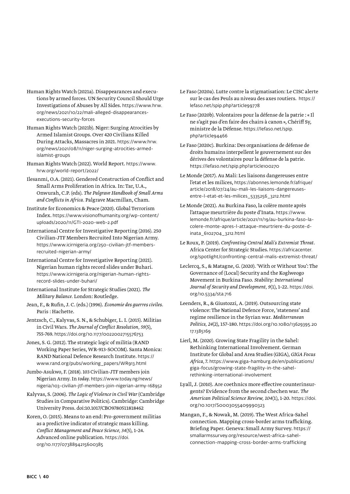- Human Rights Watch (2021a). Disappearances and executions by armed forces. UN Security Council Should Urge Investigations of Abuses by All Sides. [https://www.hrw.](https://www.hrw.org/news/2021/10/22/mali-alleged-disappearances-executions-security-forces) [org/news/2021/10/22/mali-alleged-disappearances](https://www.hrw.org/news/2021/10/22/mali-alleged-disappearances-executions-security-forces)[executions-security-forces](https://www.hrw.org/news/2021/10/22/mali-alleged-disappearances-executions-security-forces)
- Human Rights Watch (2021b). Niger: Surging Atrocities by Armed Islamist Groups. Over 420 Civilians Killed During Attacks, Massacres in 2021. [https://www.hrw.](https://www.hrw.org/news/2021/08/11/niger-surging-atrocities-armed-islamist-groups) [org/news/2021/08/11/niger-surging-atrocities-armed](https://www.hrw.org/news/2021/08/11/niger-surging-atrocities-armed-islamist-groups)[islamist-groups](https://www.hrw.org/news/2021/08/11/niger-surging-atrocities-armed-islamist-groups)
- Human Rights Watch (2022). World Report. [https://www.](https://www.hrw.org/world-report/2022/) [hrw.org/world-report/2022/](https://www.hrw.org/world-report/2022/)
- Ilesanmi, O.A. (2021). Gendered Construction of Conflict and Small Arms Proliferation in Africa. In: Tar, U.A., Onwurah, C.P. (eds). *The Palgrave Handbook of Small Arms and Conflicts in Africa.* Palgrave Macmillan, Cham.
- Institute for Economics & Peace (2020). Global Terrorism Index. [https://www.visionofhumanity.org/wp-content/](https://www.visionofhumanity.org/wp-content/uploads/2020/11/GTI-2020-web-2.pdf) [uploads/2020/11/GTI-2020-web-2.pdf](https://www.visionofhumanity.org/wp-content/uploads/2020/11/GTI-2020-web-2.pdf)
- International Centre for Investigative Reporting (2016). 250 Civilian-JTF Members Recruited Into Nigerian Army. [https://www.icirnigeria.org/250-civilian-jtf-members](https://www.icirnigeria.org/250-civilian-jtf-members-recruited-nigerian-army/)[recruited-nigerian-army/](https://www.icirnigeria.org/250-civilian-jtf-members-recruited-nigerian-army/)
- International Centre for Investigative Reporting (2021). Nigerian human rights record slides under Buhari. [https://www.icirnigeria.org/nigerian-human-rights](https://www.icirnigeria.org/nigerian-human-rights-record-slides-under-buhari/)[record-slides-under-buhari/](https://www.icirnigeria.org/nigerian-human-rights-record-slides-under-buhari/)
- International Institute for Strategic Studies (2021). *The Military Balance.* London: Routledge.
- Jean, F., & Rufin, J. C. (eds.) (1996). *Économie des guerres civiles.*  Paris : Hachette.
- Jentzsch, C., Kalyvas, S. N., & Schubiger, L. I. (2015). Militias in Civil Wars. *The Journal of Conflict Resolution, 59*(5), 755-769. <https://doi.org/10.1177/0022002715576753>
- Jones, S. G. (2012). The strategic logic of militia (RAND Working Paper Series, WR-913-SOCOM). Santa Monica: RAND National Defence Research Institute. [https://](https://www.rand.org/pubs/working_papers/WR913.html) [www.rand.org/pubs/working\\_papers/WR913.html](https://www.rand.org/pubs/working_papers/WR913.html)
- Jumbo-Asukwo, F. (2018). 103 Civilian-JTF members join Nigerian Army. In *today*. [https://www.today.ng/news/](https://www.today.ng/news/nigeria/103-civilian-jtf-members-join-nigerian-army-168952) [nigeria/103-civilian-jtf-members-join-nigerian-army-168952](https://www.today.ng/news/nigeria/103-civilian-jtf-members-join-nigerian-army-168952)
- Kalyvas, S. (2006). *The Logic of Violence in Civil War* (Cambridge Studies in Comparative Politics). Cambridge: Cambridge University Press. doi:10.1017/CBO9780511818462
- Koren, O. (2015). Means to an end: Pro-government militias as a predictive indicator of strategic mass killing. *Conflict Management and Peace Science, 34*(5), 1–24. Advanced online publication. [https://doi.](https://doi.org/10.1177/0738894215600385) [org/10.1177/0738894215600385](https://doi.org/10.1177/0738894215600385)
- Le Faso (2020a). Lutte contre la stigmatisation: Le CISC alerte sur le cas des Peuls au niveau des axes routiers. [https://](https://lefaso.net/spip.php?article99778) [lefaso.net/spip.php?article99778](https://lefaso.net/spip.php?article99778)
- Le Faso (2020b). Volontaires pour la défense de la patrie : « Il ne s'agit pas d'en faire des chairs à canon », Chériff Sy, ministre de la Défense. [https://lefaso.net/spip.](https://lefaso.net/spip.php?article94466) [php?article94466](https://lefaso.net/spip.php?article94466)
- Le Faso (2020c). Burkina: Des organisations de défense de droits humains interpellent le gouvernement sur des dérives des volontaires pour la défense de la patrie. <https://lefaso.net/spip.php?article100270>
- Le Monde (2017). Au Mali: Les liaisons dangereuses entre l'etat et les milices, [https://abonnes.lemonde.fr/afrique/](https://abonnes.lemonde.fr/afrique/article/2018/07/24/au-mali-les-liaisons-dangereuses-entre-l-etat-et-les-milices_5335256_3212.html) [article/2018/07/24/au-mali-les-liaisons-dangereuses](https://abonnes.lemonde.fr/afrique/article/2018/07/24/au-mali-les-liaisons-dangereuses-entre-l-etat-et-les-milices_5335256_3212.html)[entre-l-etat-et-les-milices\\_5335256\\_3212.html](https://abonnes.lemonde.fr/afrique/article/2018/07/24/au-mali-les-liaisons-dangereuses-entre-l-etat-et-les-milices_5335256_3212.html)
- Le Monde (2021). Au Burkina Faso, la colère monte après l'attaque meurtrière du poste d'Inata. [https://www.](https://www.lemonde.fr/afrique/article/2021/11/19/au-burkina-faso-la-colere-monte-apres-l-attaque-meurtriere-du-poste-d-inata_6102704_3212.html) [lemonde.fr/afrique/article/2021/11/19/au-burkina-faso-la](https://www.lemonde.fr/afrique/article/2021/11/19/au-burkina-faso-la-colere-monte-apres-l-attaque-meurtriere-du-poste-d-inata_6102704_3212.html)[colere-monte-apres-l-attaque-meurtriere-du-poste-d](https://www.lemonde.fr/afrique/article/2021/11/19/au-burkina-faso-la-colere-monte-apres-l-attaque-meurtriere-du-poste-d-inata_6102704_3212.html)[inata\\_6102704\\_3212.html](https://www.lemonde.fr/afrique/article/2021/11/19/au-burkina-faso-la-colere-monte-apres-l-attaque-meurtriere-du-poste-d-inata_6102704_3212.html)
- Le Roux, P. (2019). *Confronting Central Mali's Extremist Threat.* Africa Center for Strategic Studies. [https://africacenter.](https://africacenter.org/spotlight/confronting-central-malis-extremist-threat/) [org/spotlight/confronting-central-malis-extremist-threat/](https://africacenter.org/spotlight/confronting-central-malis-extremist-threat/)
- Leclercq, S., & Matagne, G. (2020). 'With or Without You': The Governance of (Local) Security and the Koglweogo Movement in Burkina Faso. *Stability: International Journal of Security and Development, 9*(1), 1–22. [https://doi.](https://doi.org/10.5334/sta.716) [org/10.5334/sta.716](https://doi.org/10.5334/sta.716)
- Leenders, R., & Giustozzi, A. (2019). Outsourcing state violence: The National Defence Force, 'stateness' and regime resilience in the Syrian war. *Mediterranean Politics, 24*(2), 157–180. [https://doi.org/10.1080/13629395.20](https://doi.org/10.1080/13629395.2017.1385169) [17.1385169](https://doi.org/10.1080/13629395.2017.1385169)
- Lierl, M. (2020). Growing State Fragility in the Sahel: Rethinking International Involvement. German Institute for Global and Area Studies (GIGA), *GIGA Focus Africa,* 7. [https://www.giga-hamburg.de/en/publications/](https://www.giga-hamburg.de/en/publications/giga-focus/growing-state-fragility-in-the-sahel-rethinking-international-involvement) [giga-focus/growing-state-fragility-in-the-sahel](https://www.giga-hamburg.de/en/publications/giga-focus/growing-state-fragility-in-the-sahel-rethinking-international-involvement)[rethinking-international-involvement](https://www.giga-hamburg.de/en/publications/giga-focus/growing-state-fragility-in-the-sahel-rethinking-international-involvement)
- Lyall, J. (2010). Are coethnics more effective counterinsurgents? Evidence from the second chechen war. *The American Political Science Review, 104*(1), 1-20. [https://doi.](https://doi.org/10.1017/S0003055409990323) [org/10.1017/S0003055409990323](https://doi.org/10.1017/S0003055409990323)
- Mangan, F., & Nowak, M. (2019). The West Africa-Sahel connection. Mapping cross-border arms trafficking. Briefing Paper. Geneva: Small Army Survey. [https://](https://smallarmssurvey.org/resource/west-africa-sahel-connection-mapping-cross-border-arms-trafficking) [smallarmssurvey.org/resource/west-africa-sahel](https://smallarmssurvey.org/resource/west-africa-sahel-connection-mapping-cross-border-arms-trafficking)[connection-mapping-cross-border-arms-trafficking](https://smallarmssurvey.org/resource/west-africa-sahel-connection-mapping-cross-border-arms-trafficking)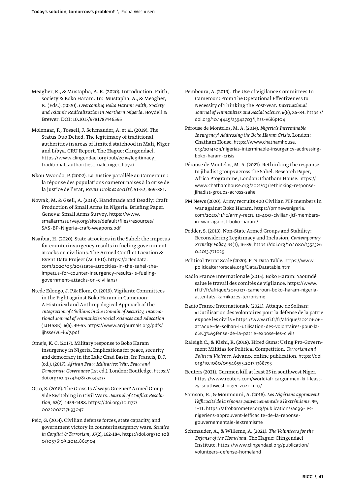- Meagher, K., & Mustapha, A. R. (2020). Introduction. Faith, society & Boko Haram. In: Mustapha, A., & Meagher, K. (Eds.). (2020). *Overcoming Boko Haram: Faith, Society and Islamic Radicalization in Northern Nigeria.* Boydell & Brewer. DOI: 10.1017/9781787446595
- Molenaar, F., Tossell, J. Schmauder, A. et al. (2019). The Status Quo Defied. The legitimacy of traditional authorities in areas of limited statehood in Mali, Niger and Libya. CRU Report. The Hague: Clingendael. [https://www.clingendael.org/pub/2019/legitimacy\\_](https://www.clingendael.org/pub/2019/legitimacy_traditional_authorities_mali_niger_libya/) traditional authorities mali niger libya/
- Nkou Mvondo, P. (2002). La Justice parallèle au Cameroun : la réponse des populations camerounaises à la crise de la justice de l'Etat, *Revue Droit et société,* 51-52, 369-381.
- Nowak, M. & Gsell, A. (2018). Handmade and Deadly: Craft Production of Small Arms in Nigeria. Briefing Paper. Geneva: Small Arms Survey. [https://www.](https://www.smallarmssurvey.org/sites/default/files/resources/SAS-BP-Nigeria-craft-weapons.pdf) [smallarmssurvey.org/sites/default/files/resources/](https://www.smallarmssurvey.org/sites/default/files/resources/SAS-BP-Nigeria-craft-weapons.pdf) [SAS-BP-Nigeria-craft-weapons.pdf](https://www.smallarmssurvey.org/sites/default/files/resources/SAS-BP-Nigeria-craft-weapons.pdf)
- Nsaibia, H. (2020). State atrocities in the Sahel: the impetus for counterinsurgency results in fueling government attacks on civilians. The Armed Conflict Location & Event Data Project (ACLED). [https://acleddata.](https://acleddata.com/2020/05/20/state-atrocities-in-the-sahel-the-impetus-for-counter-insurgency-results-is-fueling-government-attacks-on-civilians/) [com/2020/05/20/state-atrocities-in-the-sahel-the](https://acleddata.com/2020/05/20/state-atrocities-in-the-sahel-the-impetus-for-counter-insurgency-results-is-fueling-government-attacks-on-civilians/)[impetus-for-counter-insurgency-results-is-fueling](https://acleddata.com/2020/05/20/state-atrocities-in-the-sahel-the-impetus-for-counter-insurgency-results-is-fueling-government-attacks-on-civilians/)[government-attacks-on-civilians/](https://acleddata.com/2020/05/20/state-atrocities-in-the-sahel-the-impetus-for-counter-insurgency-results-is-fueling-government-attacks-on-civilians/)
- Ntede Edongo, J. P.& Elom, O. (2019). Vigilante Committees in the Fight against Boko Haram in Cameroon: A Historical and Anthropological Approach of the *Integration of Civilians in the Domain of Security, International Journal of Humanities Social Sciences and Education*  (IJHSSE), *6*(6), 49-57. [https://www.arcjournals.org/pdfs/](https://www.arcjournals.org/pdfs/ijhsse/v6-i6/7.pdf) [ijhsse/v6-i6/7.pdf](https://www.arcjournals.org/pdfs/ijhsse/v6-i6/7.pdf)
- Omeje, K. C. (2017). Military response to Boko Haram insurgency in Nigeria. Implications for peace, security and democracy in the Lake Chad Basin. In: Francis, D.J. (ed.). (2017). *African Peace Militaries: War, Peace and Democratic Governance* (1st ed.). London: Routledge. [https://](https://doi.org/10.4324/9781315545233) [doi.org/10.4324/9781315545233](https://doi.org/10.4324/9781315545233)
- Otto, S. (2018). The Grass Is Always Greener? Armed Group Side Switching in Civil Wars. *Journal of Conflict Resolution, 62*(7), 1459-1488. [https://doi.org/10.1177/](https://doi.org/10.1177/0022002717693047) [0022002717693047](https://doi.org/10.1177/0022002717693047)
- Peic, G. (2014). Civilian defense forces, state capacity, and government victory in counterinsurgency wars. *Studies in Conflict & Terrorism, 37*(2),162-184. [https://doi.org/10.108](https://doi.org/10.1080/1057610X.2014.862904) [0/1057610X.2014.862904](https://doi.org/10.1080/1057610X.2014.862904)

Pemboura, A. (2019). The Use of Vigilance Committees In Cameroon: From The Operational Effectiveness to Necessity of Thinking the Post-War. *International Journal of Humanities and Social Science, 6*(6), 26–34. [https://](https://doi.org/10.14445/23942703/ijhss-v6i6p104) [doi.org/10.14445/23942703/ijhss-v6i6p104](https://doi.org/10.14445/23942703/ijhss-v6i6p104)

Pérouse de Montclos, M. A. (2014). *Nigeria's Interminable Insurgency? Addressing the Boko Haram Crisis.* London: Chatham House. [https://www.chathamhouse.](https://www.chathamhouse.org/2014/09/nigerias-interminable-insurgency-addressing-boko-haram-crisis) [org/2014/09/nigerias-interminable-insurgency-addressing](https://www.chathamhouse.org/2014/09/nigerias-interminable-insurgency-addressing-boko-haram-crisis)[boko-haram-crisis](https://www.chathamhouse.org/2014/09/nigerias-interminable-insurgency-addressing-boko-haram-crisis)

- Pérouse de Montclos, M. A. (2021). Rethinking the response to jihadist groups across the Sahel. Research Paper, Africa Programme, London: Chatham House. [https://](https://www.chathamhouse.org/2021/03/rethinking-response-jihadist-groups-across-sahel) [www.chathamhouse.org/2021/03/rethinking-response](https://www.chathamhouse.org/2021/03/rethinking-response-jihadist-groups-across-sahel)[jihadist-groups-across-sahel](https://www.chathamhouse.org/2021/03/rethinking-response-jihadist-groups-across-sahel)
- PM News (2020). Army recruits 400 Civilian JTF members in war against Boko Haram. [https://pmnewsnigeria.](https://pmnewsnigeria.com/2020/11/12/army-recruits-400-civilian-jtf-members-in-war-against-boko-haram/) [com/2020/11/12/army-recruits-400-civilian-jtf-members](https://pmnewsnigeria.com/2020/11/12/army-recruits-400-civilian-jtf-members-in-war-against-boko-haram/)[in-war-against-boko-haram/](https://pmnewsnigeria.com/2020/11/12/army-recruits-400-civilian-jtf-members-in-war-against-boko-haram/)
- Podder, S. (2013). Non-State Armed Groups and Stability: Reconsidering Legitimacy and Inclusion, *Contemporary Security Policy, 34*(1), 16-39, [https://doi.org/10.1080/1352326](https://doi.org/10.1080/13523260.2013.771029) [0.2013.771029](https://doi.org/10.1080/13523260.2013.771029)
- Political Terror Scale (2020). PTS Data Table. [https://www.](https://www.politicalterrorscale.org/Data/Datatable.html) [politicalterrorscale.org/Data/Datatable.html](https://www.politicalterrorscale.org/Data/Datatable.html)
- Radio France Internationale (2015). Boko Haram: Yaoundé salue le travail des comités de vigilance. [https://www.](https://www.rfi.fr/fr/afrique/20151123-cameroun-boko-haram-nigeria-attentats-kamikazes-terrorisme) [rfi.fr/fr/afrique/20151123-cameroun-boko-haram-nigeria](https://www.rfi.fr/fr/afrique/20151123-cameroun-boko-haram-nigeria-attentats-kamikazes-terrorisme)[attentats-kamikazes-terrorisme](https://www.rfi.fr/fr/afrique/20151123-cameroun-boko-haram-nigeria-attentats-kamikazes-terrorisme)
- Radio France Internationale (2021). Attaque de Solhan: « L'utilisation des Volontaires pour la défense de la patrie expose les civils » [https://www.rfi.fr/fr/afrique/20210606](https://www.rfi.fr/fr/afrique/20210606-attaque-de-solhan-l-utilisation-des-volontaires-pour-la-d%C3%A9fense-de-la-patrie-expose-les-civils) [attaque-de-solhan-l-utilisation-des-volontaires-pour-la](https://www.rfi.fr/fr/afrique/20210606-attaque-de-solhan-l-utilisation-des-volontaires-pour-la-d%C3%A9fense-de-la-patrie-expose-les-civils)[d%C3%A9fense-de-la-patrie-expose-les-civils](https://www.rfi.fr/fr/afrique/20210606-attaque-de-solhan-l-utilisation-des-volontaires-pour-la-d%C3%A9fense-de-la-patrie-expose-les-civils)
- Raleigh C., & Kishi, R. (2018). Hired Guns: Using Pro-Government Militias for Political Competition. *Terrorism and Political Violence.* Advance online publication. [https://doi.](https://doi.org/10.1080/09546553.2017.1388793) [org/10.1080/09546553.2017.1388793](https://doi.org/10.1080/09546553.2017.1388793)
- Reuters (2021). Gunmen kill at least 25 in southwest Niger. [https://www.reuters.com/world/africa/gunmen-kill-least-](https://www.reuters.com/world/africa/gunmen-kill-least-25-southwest-niger-2021-11-17/)[25-southwest-niger-2021-11-17/](https://www.reuters.com/world/africa/gunmen-kill-least-25-southwest-niger-2021-11-17/)
- Samson, R., & Moumouni, A. (2016). *Les Nigériens approuvent l'efficacité de la réponse gouvernementale à l'extrémisme.* 99, 1–11. [https://afrobarometer.org/publications/ad99-les](https://afrobarometer.org/publications/ad99-les-nigeriens-approuvent-lefficacite-de-la-reponse-gouvernementale-lextremisme)[nigeriens-approuvent-lefficacite-de-la-reponse](https://afrobarometer.org/publications/ad99-les-nigeriens-approuvent-lefficacite-de-la-reponse-gouvernementale-lextremisme)[gouvernementale-lextremisme](https://afrobarometer.org/publications/ad99-les-nigeriens-approuvent-lefficacite-de-la-reponse-gouvernementale-lextremisme)
- Schmauder, A., & Willeme, A. (2021). *The Volunteers for the Defense of the Homeland.* The Hague: Clingendael Institute. [https://www.clingendael.org/publication/](https://www.clingendael.org/publication/volunteers-defense-homeland) [volunteers-defense-homeland](https://www.clingendael.org/publication/volunteers-defense-homeland)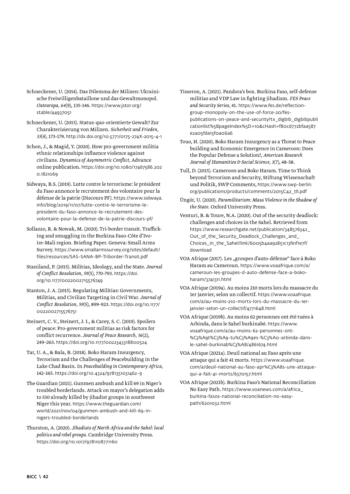- Schneckener, U. (2014). Das Dilemma der Milizen: Ukrainische Freiwilligenbataillone und das Gewaltmonopol. *Osteuropa, 64*(9), 135-146. [https://www.jstor.org/](https://www.jstor.org/stable/44937051) [stable/44937051](https://www.jstor.org/stable/44937051)
- Schneckener, U. (2015). Status-quo-orientierte Gewalt? Zur Charakterisierung von Milizen. *Sicherheit und Frieden, 33*(4)*,* 173-179. <http://dx.doi.org/10.5771/0175-274X-2015-4-1>
- Schon, J., & Magid, Y. (2020). How pro-government militia ethnic relationships influence violence against civilians. *Dynamics of Asymmetric Conflict,* Advance online publication. [https://doi.org/10.1080/17467586.202](https://doi.org/10.1080/17467586.2020.1821069) [0.1821069](https://doi.org/10.1080/17467586.2020.1821069)
- Sidwaya, B.S. (2019). Lutte contre le terrorisme: le président du Faso annonce le recrutement des volontaire pour la défense de la patrie (Discours PF). [https://www.sidwaya.](https://www.sidwaya.info/blog/2019/11/07/lutte-contre-le-terrorisme-le-president-du-faso-annonce-le-recrutement-des-volontaire-pour-la-defense-de-la-patrie-discours-pf/) [info/blog/2019/11/07/lutte-contre-le-terrorisme-le](https://www.sidwaya.info/blog/2019/11/07/lutte-contre-le-terrorisme-le-president-du-faso-annonce-le-recrutement-des-volontaire-pour-la-defense-de-la-patrie-discours-pf/)[president-du-faso-annonce-le-recrutement-des](https://www.sidwaya.info/blog/2019/11/07/lutte-contre-le-terrorisme-le-president-du-faso-annonce-le-recrutement-des-volontaire-pour-la-defense-de-la-patrie-discours-pf/)[volontaire-pour-la-defense-de-la-patrie-discours-pf/](https://www.sidwaya.info/blog/2019/11/07/lutte-contre-le-terrorisme-le-president-du-faso-annonce-le-recrutement-des-volontaire-pour-la-defense-de-la-patrie-discours-pf/)
- Sollazzo, R. & Nowak, M. (2020). Tri-border transit. Trafficking and smuggling in the Burkina Faso-Côte d'Ivoire-Mali region. Briefing Paper. Geneva: Small Arms Survey. [https://www.smallarmssurvey.org/sites/default/](https://www.smallarmssurvey.org/sites/default/files/resources/SAS-SANA-BP-Triborder-Transit.pdf) [files/resources/SAS-SANA-BP-Triborder-Transit.pdf](https://www.smallarmssurvey.org/sites/default/files/resources/SAS-SANA-BP-Triborder-Transit.pdf)
- Staniland, P. (2015). Militias, Ideology, and the State. *Journal of Conflict Resolution, 59*(5), 770-793. [https://doi.](https://doi.org/10.1177/0022002715576749) [org/10.1177/0022002715576749](https://doi.org/10.1177/0022002715576749)
- Stanton, J. A. (2015). Regulating Militias: Governments, Militias, and Civilian Targeting in Civil War. *Journal of Conflict Resolution, 59*(5), 899-923. [https://doi.org/10.1177/](https://doi.org/10.1177/0022002715576751) [0022002715576751](https://doi.org/10.1177/0022002715576751)
- Steinert, C. V., Steinert, J. I., & Carey, S. C. (2019). Spoilers of peace: Pro-government militias as risk factors for conflict recurrence. *Journal of Peace Research, 56*(2), 249–263. <https://doi.org/10.1177/0022343318800524>
- Tar, U. A., & Bala, B. (2018). Boko Haram Insurgency, Terrorism and the Challenges of Peacebuilding in the Lake Chad Basin. In *Peacebuilding in Contemporary Africa,*  142–165. <https://doi.org/10.4324/9781351031462-9>
- The Guardian (2021). Gunmen ambush and kill 69 in Niger's troubled borderlands. Attack on mayor's delegation adds to 530 already killed by jihadist groups in southwest Niger this year. [https://www.theguardian.com/](https://www.theguardian.com/world/2021/nov/04/gunmen-ambush-and-kill-69-in-nigers-troubled-borderlands) [world/2021/nov/04/gunmen-ambush-and-kill-69-in](https://www.theguardian.com/world/2021/nov/04/gunmen-ambush-and-kill-69-in-nigers-troubled-borderlands)[nigers-troubled-borderlands](https://www.theguardian.com/world/2021/nov/04/gunmen-ambush-and-kill-69-in-nigers-troubled-borderlands)
- Thurston, A. (2020). *Jihadists of North Africa and the Sahel: local politics and rebel groups.* Cambridge University Press. <https://doi.org/10.1017/9781108771160>
- Tisseron, A. (2021). Pandora's box. Burkina Faso, self-defense militias and VDP Law in fighting jihadism. *FES Peace and Security Series,* 41. [https://www.fes.de/reflection](https://www.fes.de/reflection-group-monopoly-on-the-use-of-force-20/fes-publications-on-peace-and-security?tx_digbib_digbibpublicationlist%5BpageIndex%5D=10&cHash=f80cd772bfaa587e2a05fda15f0a06a6)[group-monopoly-on-the-use-of-force-20/fes](https://www.fes.de/reflection-group-monopoly-on-the-use-of-force-20/fes-publications-on-peace-and-security?tx_digbib_digbibpublicationlist%5BpageIndex%5D=10&cHash=f80cd772bfaa587e2a05fda15f0a06a6)[publications-on-peace-and-security?tx\\_digbib\\_digbibpubli](https://www.fes.de/reflection-group-monopoly-on-the-use-of-force-20/fes-publications-on-peace-and-security?tx_digbib_digbibpublicationlist%5BpageIndex%5D=10&cHash=f80cd772bfaa587e2a05fda15f0a06a6) [cationlist%5BpageIndex%5D=10&cHash=f80cd772bfaa587](https://www.fes.de/reflection-group-monopoly-on-the-use-of-force-20/fes-publications-on-peace-and-security?tx_digbib_digbibpublicationlist%5BpageIndex%5D=10&cHash=f80cd772bfaa587e2a05fda15f0a06a6) [e2a05fda15f0a06a6](https://www.fes.de/reflection-group-monopoly-on-the-use-of-force-20/fes-publications-on-peace-and-security?tx_digbib_digbibpublicationlist%5BpageIndex%5D=10&cHash=f80cd772bfaa587e2a05fda15f0a06a6)
- Touo, H. (2020). Boko Haram Insurgency as a Threat to Peace building and Economic Emergence in Cameroon: Does the Popular Defense a Solution?, *American Research Journal of Humanities & Social Science, 3*(7), 48-58.
- Tull, D. (2015). Cameroon and Boko Haram. Time to Think beyond Terrorism and Security, Stiftung Wissenschaft und Politik, SWP Comments, [https://www.swp-berlin.](https://www.swp-berlin.org/publications/products/comments/2015C42_tll.pdf) [org/publications/products/comments/2015C42\\_tll.pdf](https://www.swp-berlin.org/publications/products/comments/2015C42_tll.pdf)
- Üngör, U. (2020). *Paramilitarism: Mass Violence in the Shadow of the State*. Oxford University Press.
- Venturi, B. & Toure, N.A. (2020). Out of the security deadlock: challenges and choices in the Sahel. Retrieved from [https://www.researchgate.net/publication/348576342\\_](https://www.researchgate.net/publication/348576342_Out_of_the_Security_Deadlock_Challenges_and_Choices_in_the_Sahel/link/6005b4aa92851c13fe1f1e7f/download) Out of the Security Deadlock Challenges and Choices in the Sahel/link/6005b4aa92851c13fe1f1e7f/ [download](https://www.researchgate.net/publication/348576342_Out_of_the_Security_Deadlock_Challenges_and_Choices_in_the_Sahel/link/6005b4aa92851c13fe1f1e7f/download)
- VOA Afrique (2017). Les "groupes d'auto-défense" face à Boko Haram au Cameroun. [https://www.voaafrique.com/a/](https://www.voaafrique.com/a/cameroun-les-groupes-d-auto-defense-face-a-boko-haram/3741311.html) [cameroun-les-groupes-d-auto-defense-face-a-boko](https://www.voaafrique.com/a/cameroun-les-groupes-d-auto-defense-face-a-boko-haram/3741311.html)[haram/3741311.html](https://www.voaafrique.com/a/cameroun-les-groupes-d-auto-defense-face-a-boko-haram/3741311.html)
- VOA Afrique (2019a). Au moins 210 morts lors du massacre du 1er janvier, selon un collectif. [https://www.voaafrique.](https://www.voaafrique.com/a/au-moins-210-morts-lors-du-massacre-du-1er-janvier-selon-un-collectif/4771648.html) [com/a/au-moins-210-morts-lors-du-massacre-du-1er](https://www.voaafrique.com/a/au-moins-210-morts-lors-du-massacre-du-1er-janvier-selon-un-collectif/4771648.html)[janvier-selon-un-collectif/4771648.html](https://www.voaafrique.com/a/au-moins-210-morts-lors-du-massacre-du-1er-janvier-selon-un-collectif/4771648.html)
- VOA Afrique (2019b). Au moins 62 personnes ont été tuées à Arbinda, dans le Sahel burkinabè. [https://www.](https://www.voaafrique.com/a/au-moins-62-personnes-ont-%C3%A9t%C3%A9-tu%C3%A9es-%C3%A0-arbinda-dans-le-sahel-burkinab%C3%A8/4861674.html) [voaafrique.com/a/au-moins-62-personnes-ont-](https://www.voaafrique.com/a/au-moins-62-personnes-ont-%C3%A9t%C3%A9-tu%C3%A9es-%C3%A0-arbinda-dans-le-sahel-burkinab%C3%A8/4861674.html) [%C3%A9t%C3%A9-tu%C3%A9es-%C3%A0-arbinda-dans](https://www.voaafrique.com/a/au-moins-62-personnes-ont-%C3%A9t%C3%A9-tu%C3%A9es-%C3%A0-arbinda-dans-le-sahel-burkinab%C3%A8/4861674.html)[le-sahel-burkinab%C3%A8/4861674.html](https://www.voaafrique.com/a/au-moins-62-personnes-ont-%C3%A9t%C3%A9-tu%C3%A9es-%C3%A0-arbinda-dans-le-sahel-burkinab%C3%A8/4861674.html)
- VOA Afrique (2021a). Deuil national au Faso après une attaque qui a fait 41 morts. [https://www.voaafrique.](https://www.voaafrique.com/a/deuil-national-au-faso-apr%C3%A8s-une-attaque-qui-a-fait-41-morts/6370157.html) [com/a/deuil-national-au-faso-apr%C3%A8s-une-attaque](https://www.voaafrique.com/a/deuil-national-au-faso-apr%C3%A8s-une-attaque-qui-a-fait-41-morts/6370157.html)[qui-a-fait-41-morts/6370157.html](https://www.voaafrique.com/a/deuil-national-au-faso-apr%C3%A8s-une-attaque-qui-a-fait-41-morts/6370157.html)
- VOA Afrique (2021b). Burkina Faso's National Reconciliation No Easy Path. [https://www.voanews.com/a/africa\\_](https://www.voanews.com/a/africa_burkina-fasos-national-reconciliation-no-easy-path/6201032.html) [burkina-fasos-national-reconciliation-no-easy](https://www.voanews.com/a/africa_burkina-fasos-national-reconciliation-no-easy-path/6201032.html)[path/6201032.html](https://www.voanews.com/a/africa_burkina-fasos-national-reconciliation-no-easy-path/6201032.html)